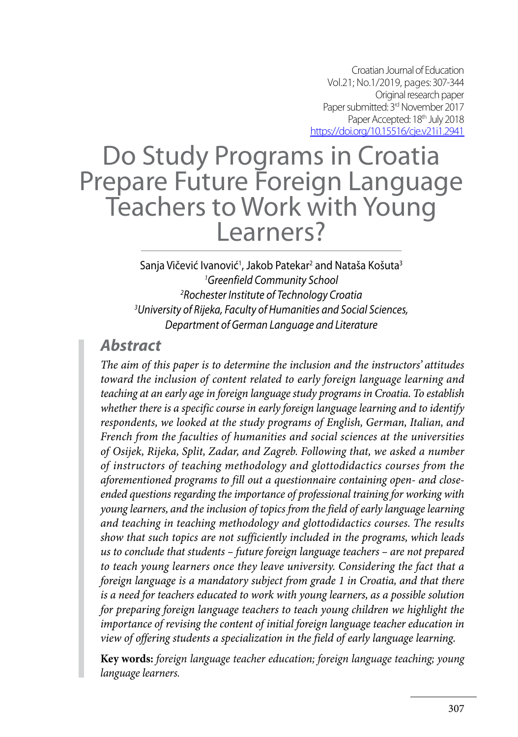Croatian Journal of Education Vol.21; No.1/2019, pages: 307-344 Original research paper Paper submitted: 3<sup>rd</sup> November 2017 Paper Accepted: 18<sup>th</sup> July 2018 https://doi.org/10.15516/cje.v21i1.2941

# Do Study Programs in Croatia Prepare Future Foreign Language Teachers to Work with Young Learners?

Sanja Vičević Ivanović<sup>1</sup>, Jakob Patekar<sup>2</sup> and Nataša Košuta<sup>3</sup> *1 Greenfield Community School 2 Rochester Institute of Technology Croatia 3 University of Rijeka, Faculty of Humanities and Social Sciences, Department of German Language and Literature*

## *Abstract*

*The aim of this paper is to determine the inclusion and the instructors' attitudes toward the inclusion of content related to early foreign language learning and teaching at an early age in foreign language study programs in Croatia. To establish whether there is a specific course in early foreign language learning and to identify respondents, we looked at the study programs of English, German, Italian, and French from the faculties of humanities and social sciences at the universities of Osijek, Rijeka, Split, Zadar, and Zagreb. Following that, we asked a number of instructors of teaching methodology and glottodidactics courses from the aforementioned programs to fill out a questionnaire containing open- and closeended questions regarding the importance of professional training for working with young learners, and the inclusion of topics from the field of early language learning and teaching in teaching methodology and glottodidactics courses. The results show that such topics are not sufficiently included in the programs, which leads us to conclude that students – future foreign language teachers – are not prepared to teach young learners once they leave university. Considering the fact that a foreign language is a mandatory subject from grade 1 in Croatia, and that there is a need for teachers educated to work with young learners, as a possible solution for preparing foreign language teachers to teach young children we highlight the importance of revising the content of initial foreign language teacher education in view of offering students a specialization in the field of early language learning.*

**Key words:** *foreign language teacher education; foreign language teaching; young language learners.*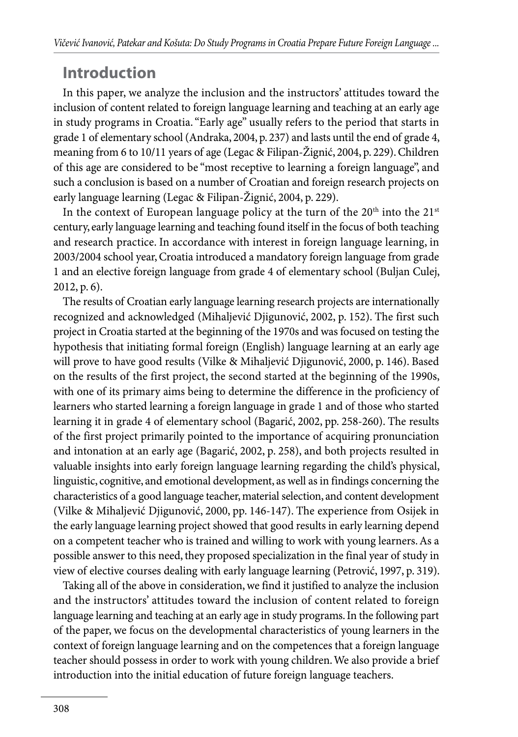# **Introduction**

In this paper, we analyze the inclusion and the instructors' attitudes toward the inclusion of content related to foreign language learning and teaching at an early age in study programs in Croatia. "Early age" usually refers to the period that starts in grade 1 of elementary school (Andraka, 2004, p. 237) and lasts until the end of grade 4, meaning from 6 to 10/11 years of age (Legac & Filipan-Žignić, 2004, p. 229). Children of this age are considered to be "most receptive to learning a foreign language", and such a conclusion is based on a number of Croatian and foreign research projects on early language learning (Legac & Filipan-Žignić, 2004, p. 229).

In the context of European language policy at the turn of the  $20<sup>th</sup>$  into the  $21<sup>st</sup>$ century, early language learning and teaching found itself in the focus of both teaching and research practice. In accordance with interest in foreign language learning, in 2003/2004 school year, Croatia introduced a mandatory foreign language from grade 1 and an elective foreign language from grade 4 of elementary school (Buljan Culej, 2012, p. 6).

The results of Croatian early language learning research projects are internationally recognized and acknowledged (Mihaljević Djigunović, 2002, p. 152). The first such project in Croatia started at the beginning of the 1970s and was focused on testing the hypothesis that initiating formal foreign (English) language learning at an early age will prove to have good results (Vilke & Mihaljević Djigunović, 2000, p. 146). Based on the results of the first project, the second started at the beginning of the 1990s, with one of its primary aims being to determine the difference in the proficiency of learners who started learning a foreign language in grade 1 and of those who started learning it in grade 4 of elementary school (Bagarić, 2002, pp. 258-260). The results of the first project primarily pointed to the importance of acquiring pronunciation and intonation at an early age (Bagarić, 2002, p. 258), and both projects resulted in valuable insights into early foreign language learning regarding the child's physical, linguistic, cognitive, and emotional development, as well as in findings concerning the characteristics of a good language teacher, material selection, and content development (Vilke & Mihaljević Djigunović, 2000, pp. 146-147). The experience from Osijek in the early language learning project showed that good results in early learning depend on a competent teacher who is trained and willing to work with young learners. As a possible answer to this need, they proposed specialization in the final year of study in view of elective courses dealing with early language learning (Petrović, 1997, p. 319).

Taking all of the above in consideration, we find it justified to analyze the inclusion and the instructors' attitudes toward the inclusion of content related to foreign language learning and teaching at an early age in study programs. In the following part of the paper, we focus on the developmental characteristics of young learners in the context of foreign language learning and on the competences that a foreign language teacher should possess in order to work with young children. We also provide a brief introduction into the initial education of future foreign language teachers.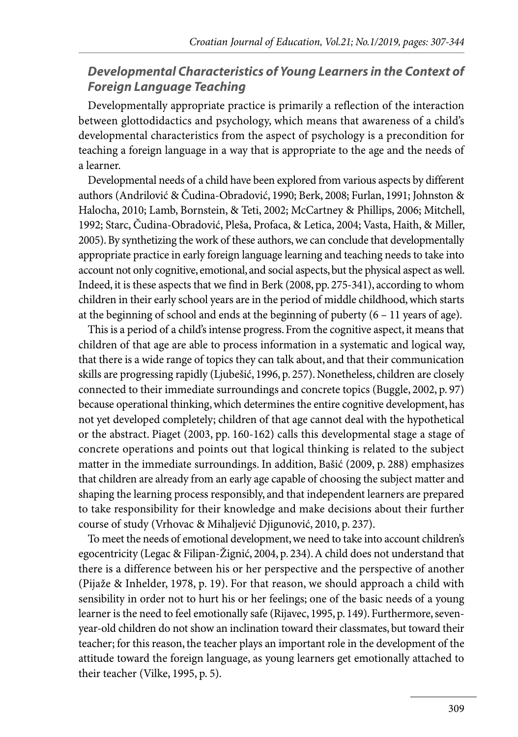#### *Developmental Characteristics of Young Learners in the Context of Foreign Language Teaching*

Developmentally appropriate practice is primarily a reflection of the interaction between glottodidactics and psychology, which means that awareness of a child's developmental characteristics from the aspect of psychology is a precondition for teaching a foreign language in a way that is appropriate to the age and the needs of a learner.

Developmental needs of a child have been explored from various aspects by different authors (Andrilović & Čudina-Obradović, 1990; Berk, 2008; Furlan, 1991; Johnston & Halocha, 2010; Lamb, Bornstein, & Teti, 2002; McCartney & Phillips, 2006; Mitchell, 1992; Starc, Čudina-Obradović, Pleša, Profaca, & Letica, 2004; Vasta, Haith, & Miller, 2005). By synthetizing the work of these authors, we can conclude that developmentally appropriate practice in early foreign language learning and teaching needs to take into account not only cognitive, emotional, and social aspects, but the physical aspect as well. Indeed, it is these aspects that we find in Berk (2008, pp. 275-341), according to whom children in their early school years are in the period of middle childhood, which starts at the beginning of school and ends at the beginning of puberty (6 – 11 years of age).

This is a period of a child's intense progress. From the cognitive aspect, it means that children of that age are able to process information in a systematic and logical way, that there is a wide range of topics they can talk about, and that their communication skills are progressing rapidly (Ljubešić, 1996, p. 257). Nonetheless, children are closely connected to their immediate surroundings and concrete topics (Buggle, 2002, p. 97) because operational thinking, which determines the entire cognitive development, has not yet developed completely; children of that age cannot deal with the hypothetical or the abstract. Piaget (2003, pp. 160-162) calls this developmental stage a stage of concrete operations and points out that logical thinking is related to the subject matter in the immediate surroundings. In addition, Bašić (2009, p. 288) emphasizes that children are already from an early age capable of choosing the subject matter and shaping the learning process responsibly, and that independent learners are prepared to take responsibility for their knowledge and make decisions about their further course of study (Vrhovac & Mihaljević Djigunović, 2010, p. 237).

To meet the needs of emotional development, we need to take into account children's egocentricity (Legac & Filipan-Žignić, 2004, p. 234). A child does not understand that there is a difference between his or her perspective and the perspective of another (Pijaže & Inhelder, 1978, p. 19). For that reason, we should approach a child with sensibility in order not to hurt his or her feelings; one of the basic needs of a young learner is the need to feel emotionally safe (Rijavec, 1995, p. 149). Furthermore, sevenyear-old children do not show an inclination toward their classmates, but toward their teacher; for this reason, the teacher plays an important role in the development of the attitude toward the foreign language, as young learners get emotionally attached to their teacher (Vilke, 1995, p. 5).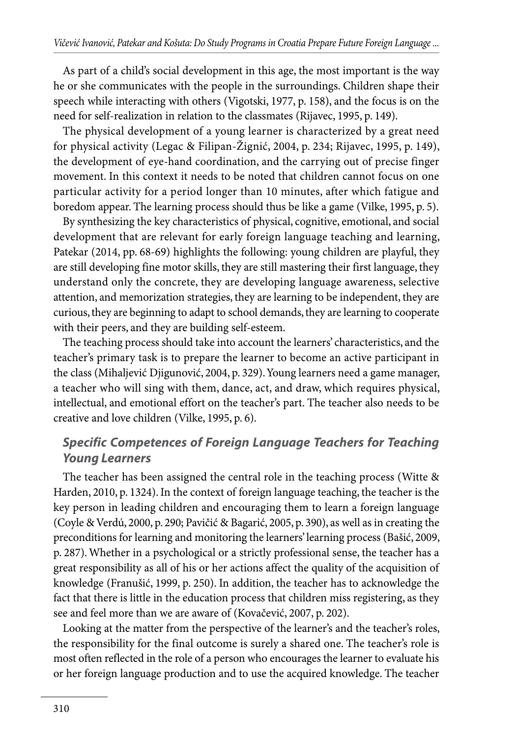As part of a child's social development in this age, the most important is the way he or she communicates with the people in the surroundings. Children shape their speech while interacting with others (Vigotski, 1977, p. 158), and the focus is on the need for self-realization in relation to the classmates (Rijavec, 1995, p. 149).

The physical development of a young learner is characterized by a great need for physical activity (Legac & Filipan-Žignić, 2004, p. 234; Rijavec, 1995, p. 149), the development of eye-hand coordination, and the carrying out of precise finger movement. In this context it needs to be noted that children cannot focus on one particular activity for a period longer than 10 minutes, after which fatigue and boredom appear. The learning process should thus be like a game (Vilke, 1995, p. 5).

By synthesizing the key characteristics of physical, cognitive, emotional, and social development that are relevant for early foreign language teaching and learning, Patekar (2014, pp. 68-69) highlights the following: young children are playful, they are still developing fine motor skills, they are still mastering their first language, they understand only the concrete, they are developing language awareness, selective attention, and memorization strategies, they are learning to be independent, they are curious, they are beginning to adapt to school demands, they are learning to cooperate with their peers, and they are building self-esteem.

The teaching process should take into account the learners' characteristics, and the teacher's primary task is to prepare the learner to become an active participant in the class (Mihaljević Djigunović, 2004, p. 329). Young learners need a game manager, a teacher who will sing with them, dance, act, and draw, which requires physical, intellectual, and emotional effort on the teacher's part. The teacher also needs to be creative and love children (Vilke, 1995, p. 6).

#### *Specific Competences of Foreign Language Teachers for Teaching Young Learners*

The teacher has been assigned the central role in the teaching process (Witte & Harden, 2010, p. 1324). In the context of foreign language teaching, the teacher is the key person in leading children and encouraging them to learn a foreign language (Coyle & Verdú, 2000, p. 290; Pavičić & Bagarić, 2005, p. 390), as well as in creating the preconditions for learning and monitoring the learners' learning process (Bašić, 2009, p. 287). Whether in a psychological or a strictly professional sense, the teacher has a great responsibility as all of his or her actions affect the quality of the acquisition of knowledge (Franušić, 1999, p. 250). In addition, the teacher has to acknowledge the fact that there is little in the education process that children miss registering, as they see and feel more than we are aware of (Kovačević, 2007, p. 202).

Looking at the matter from the perspective of the learner's and the teacher's roles, the responsibility for the final outcome is surely a shared one. The teacher's role is most often reflected in the role of a person who encourages the learner to evaluate his or her foreign language production and to use the acquired knowledge. The teacher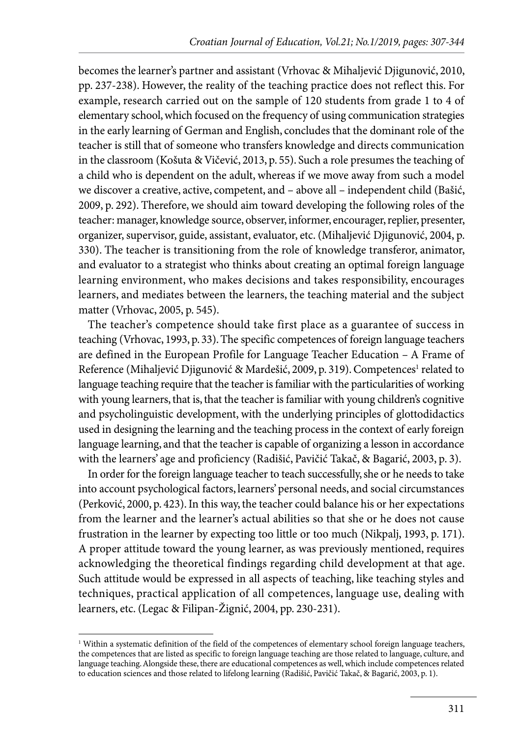becomes the learner's partner and assistant (Vrhovac & Mihaljević Djigunović, 2010, pp. 237-238). However, the reality of the teaching practice does not reflect this. For example, research carried out on the sample of 120 students from grade 1 to 4 of elementary school, which focused on the frequency of using communication strategies in the early learning of German and English, concludes that the dominant role of the teacher is still that of someone who transfers knowledge and directs communication in the classroom (Košuta & Vičević, 2013, p. 55). Such a role presumes the teaching of a child who is dependent on the adult, whereas if we move away from such a model we discover a creative, active, competent, and – above all – independent child (Bašić, 2009, p. 292). Therefore, we should aim toward developing the following roles of the teacher: manager, knowledge source, observer, informer, encourager, replier, presenter, organizer, supervisor, guide, assistant, evaluator, etc. (Mihaljević Djigunović, 2004, p. 330). The teacher is transitioning from the role of knowledge transferor, animator, and evaluator to a strategist who thinks about creating an optimal foreign language learning environment, who makes decisions and takes responsibility, encourages learners, and mediates between the learners, the teaching material and the subject matter (Vrhovac, 2005, p. 545).

The teacher's competence should take first place as a guarantee of success in teaching (Vrhovac, 1993, p. 33). The specific competences of foreign language teachers are defined in the European Profile for Language Teacher Education – A Frame of Reference (Mihaljević Djigunović & Mardešić, 2009, p. 319). Competences<sup>1</sup> related to language teaching require that the teacher is familiar with the particularities of working with young learners, that is, that the teacher is familiar with young children's cognitive and psycholinguistic development, with the underlying principles of glottodidactics used in designing the learning and the teaching process in the context of early foreign language learning, and that the teacher is capable of organizing a lesson in accordance with the learners' age and proficiency (Radišić, Pavičić Takač, & Bagarić, 2003, p. 3).

In order for the foreign language teacher to teach successfully, she or he needs to take into account psychological factors, learners' personal needs, and social circumstances (Perković, 2000, p. 423). In this way, the teacher could balance his or her expectations from the learner and the learner's actual abilities so that she or he does not cause frustration in the learner by expecting too little or too much (Nikpalj, 1993, p. 171). A proper attitude toward the young learner, as was previously mentioned, requires acknowledging the theoretical findings regarding child development at that age. Such attitude would be expressed in all aspects of teaching, like teaching styles and techniques, practical application of all competences, language use, dealing with learners, etc. (Legac & Filipan-Žignić, 2004, pp. 230-231).

<sup>&</sup>lt;sup>1</sup> Within a systematic definition of the field of the competences of elementary school foreign language teachers, the competences that are listed as specific to foreign language teaching are those related to language, culture, and language teaching. Alongside these, there are educational competences as well, which include competences related to education sciences and those related to lifelong learning (Radišić, Pavičić Takač, & Bagarić, 2003, p. 1).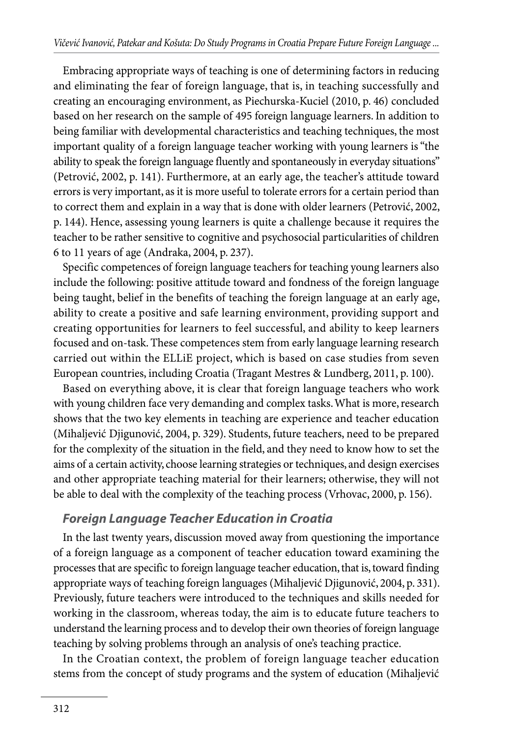Embracing appropriate ways of teaching is one of determining factors in reducing and eliminating the fear of foreign language, that is, in teaching successfully and creating an encouraging environment, as Piechurska-Kuciel (2010, p. 46) concluded based on her research on the sample of 495 foreign language learners. In addition to being familiar with developmental characteristics and teaching techniques, the most important quality of a foreign language teacher working with young learners is "the ability to speak the foreign language fluently and spontaneously in everyday situations" (Petrović, 2002, p. 141). Furthermore, at an early age, the teacher's attitude toward errors is very important, as it is more useful to tolerate errors for a certain period than to correct them and explain in a way that is done with older learners (Petrović, 2002, p. 144). Hence, assessing young learners is quite a challenge because it requires the teacher to be rather sensitive to cognitive and psychosocial particularities of children 6 to 11 years of age (Andraka, 2004, p. 237).

Specific competences of foreign language teachers for teaching young learners also include the following: positive attitude toward and fondness of the foreign language being taught, belief in the benefits of teaching the foreign language at an early age, ability to create a positive and safe learning environment, providing support and creating opportunities for learners to feel successful, and ability to keep learners focused and on-task. These competences stem from early language learning research carried out within the ELLiE project, which is based on case studies from seven European countries, including Croatia (Tragant Mestres & Lundberg, 2011, p. 100).

Based on everything above, it is clear that foreign language teachers who work with young children face very demanding and complex tasks. What is more, research shows that the two key elements in teaching are experience and teacher education (Mihaljević Djigunović, 2004, p. 329). Students, future teachers, need to be prepared for the complexity of the situation in the field, and they need to know how to set the aims of a certain activity, choose learning strategies or techniques, and design exercises and other appropriate teaching material for their learners; otherwise, they will not be able to deal with the complexity of the teaching process (Vrhovac, 2000, p. 156).

#### *Foreign Language Teacher Education in Croatia*

In the last twenty years, discussion moved away from questioning the importance of a foreign language as a component of teacher education toward examining the processes that are specific to foreign language teacher education, that is, toward finding appropriate ways of teaching foreign languages (Mihaljević Djigunović, 2004, p. 331). Previously, future teachers were introduced to the techniques and skills needed for working in the classroom, whereas today, the aim is to educate future teachers to understand the learning process and to develop their own theories of foreign language teaching by solving problems through an analysis of one's teaching practice.

In the Croatian context, the problem of foreign language teacher education stems from the concept of study programs and the system of education (Mihaljević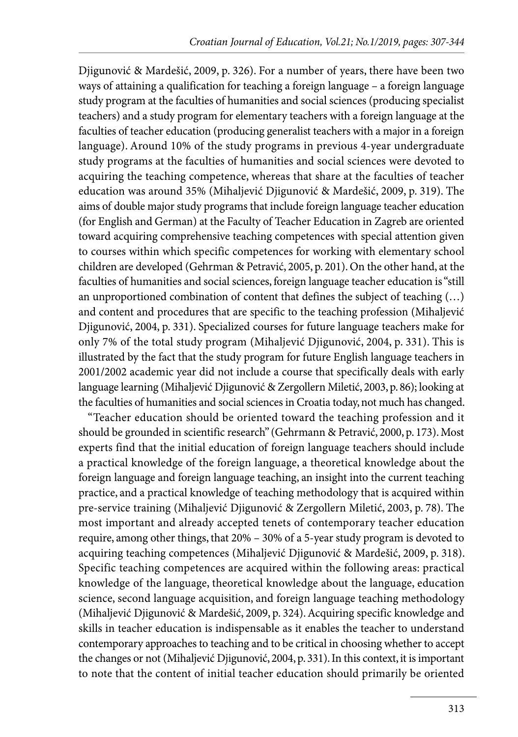Djigunović & Mardešić, 2009, p. 326). For a number of years, there have been two ways of attaining a qualification for teaching a foreign language – a foreign language study program at the faculties of humanities and social sciences (producing specialist teachers) and a study program for elementary teachers with a foreign language at the faculties of teacher education (producing generalist teachers with a major in a foreign language). Around 10% of the study programs in previous 4-year undergraduate study programs at the faculties of humanities and social sciences were devoted to acquiring the teaching competence, whereas that share at the faculties of teacher education was around 35% (Mihaljević Djigunović & Mardešić, 2009, p. 319). The aims of double major study programs that include foreign language teacher education (for English and German) at the Faculty of Teacher Education in Zagreb are oriented toward acquiring comprehensive teaching competences with special attention given to courses within which specific competences for working with elementary school children are developed (Gehrman & Petravić, 2005, p. 201). On the other hand, at the faculties of humanities and social sciences, foreign language teacher education is "still an unproportioned combination of content that defines the subject of teaching (…) and content and procedures that are specific to the teaching profession (Mihaljević Djigunović, 2004, p. 331). Specialized courses for future language teachers make for only 7% of the total study program (Mihaljević Djigunović, 2004, p. 331). This is illustrated by the fact that the study program for future English language teachers in 2001/2002 academic year did not include a course that specifically deals with early language learning (Mihaljević Djigunović & Zergollern Miletić, 2003, p. 86); looking at the faculties of humanities and social sciences in Croatia today, not much has changed.

"Teacher education should be oriented toward the teaching profession and it should be grounded in scientific research" (Gehrmann & Petravić, 2000, p. 173). Most experts find that the initial education of foreign language teachers should include a practical knowledge of the foreign language, a theoretical knowledge about the foreign language and foreign language teaching, an insight into the current teaching practice, and a practical knowledge of teaching methodology that is acquired within pre-service training (Mihaljević Djigunović & Zergollern Miletić, 2003, p. 78). The most important and already accepted tenets of contemporary teacher education require, among other things, that 20% – 30% of a 5-year study program is devoted to acquiring teaching competences (Mihaljević Djigunović & Mardešić, 2009, p. 318). Specific teaching competences are acquired within the following areas: practical knowledge of the language, theoretical knowledge about the language, education science, second language acquisition, and foreign language teaching methodology (Mihaljević Djigunović & Mardešić, 2009, p. 324). Acquiring specific knowledge and skills in teacher education is indispensable as it enables the teacher to understand contemporary approaches to teaching and to be critical in choosing whether to accept the changes or not (Mihaljević Djigunović, 2004, p. 331). In this context, it is important to note that the content of initial teacher education should primarily be oriented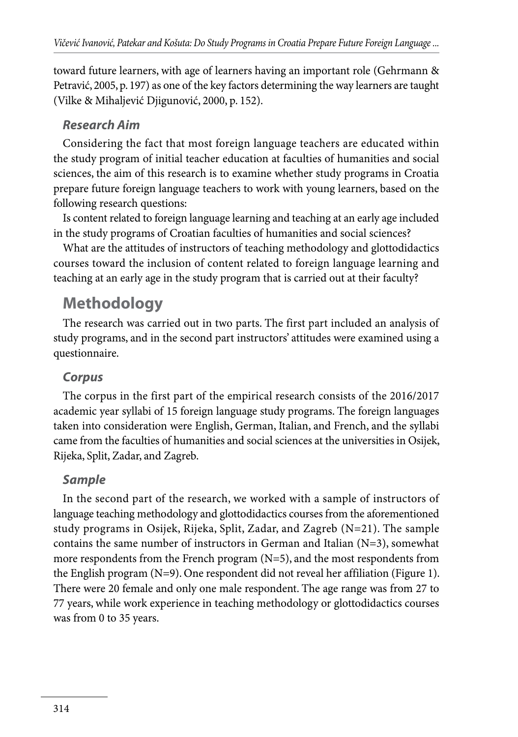toward future learners, with age of learners having an important role (Gehrmann & Petravić, 2005, p. 197) as one of the key factors determining the way learners are taught (Vilke & Mihaljević Djigunović, 2000, p. 152).

#### *Research Aim*

Considering the fact that most foreign language teachers are educated within the study program of initial teacher education at faculties of humanities and social sciences, the aim of this research is to examine whether study programs in Croatia prepare future foreign language teachers to work with young learners, based on the following research questions:

Is content related to foreign language learning and teaching at an early age included in the study programs of Croatian faculties of humanities and social sciences?

What are the attitudes of instructors of teaching methodology and glottodidactics courses toward the inclusion of content related to foreign language learning and teaching at an early age in the study program that is carried out at their faculty?

# **Methodology**

The research was carried out in two parts. The first part included an analysis of study programs, and in the second part instructors' attitudes were examined using a questionnaire.

## *Corpus*

The corpus in the first part of the empirical research consists of the 2016/2017 academic year syllabi of 15 foreign language study programs. The foreign languages taken into consideration were English, German, Italian, and French, and the syllabi came from the faculties of humanities and social sciences at the universities in Osijek, Rijeka, Split, Zadar, and Zagreb.

## *Sample*

In the second part of the research, we worked with a sample of instructors of language teaching methodology and glottodidactics courses from the aforementioned study programs in Osijek, Rijeka, Split, Zadar, and Zagreb (N=21). The sample contains the same number of instructors in German and Italian  $(N=3)$ , somewhat more respondents from the French program  $(N=5)$ , and the most respondents from the English program (N=9). One respondent did not reveal her affiliation (Figure 1). There were 20 female and only one male respondent. The age range was from 27 to 77 years, while work experience in teaching methodology or glottodidactics courses was from 0 to 35 years.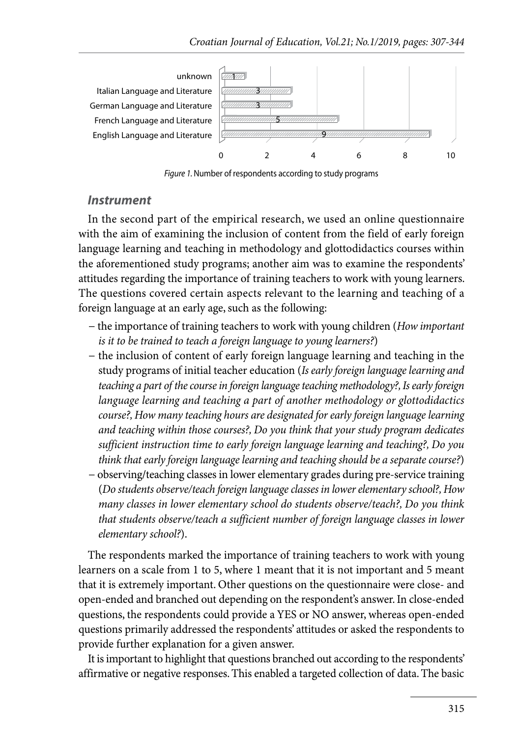

*Figure 1.* Number of respondents according to study programs

#### *Instrument*

In the second part of the empirical research, we used an online questionnaire with the aim of examining the inclusion of content from the field of early foreign language learning and teaching in methodology and glottodidactics courses within the aforementioned study programs; another aim was to examine the respondents' attitudes regarding the importance of training teachers to work with young learners. The questions covered certain aspects relevant to the learning and teaching of a foreign language at an early age, such as the following:

- − the importance of training teachers to work with young children (*How important is it to be trained to teach a foreign language to young learners?*)
- − the inclusion of content of early foreign language learning and teaching in the study programs of initial teacher education (*Is early foreign language learning and teaching a part of the course in foreign language teaching methodology?, Is early foreign language learning and teaching a part of another methodology or glottodidactics course?, How many teaching hours are designated for early foreign language learning and teaching within those courses?, Do you think that your study program dedicates sufficient instruction time to early foreign language learning and teaching?, Do you think that early foreign language learning and teaching should be a separate course?*)
- − observing/teaching classes in lower elementary grades during pre-service training (*Do students observe/teach foreign language classes in lower elementary school?, How many classes in lower elementary school do students observe/teach?, Do you think that students observe/teach a sufficient number of foreign language classes in lower elementary school?*).

The respondents marked the importance of training teachers to work with young learners on a scale from 1 to 5, where 1 meant that it is not important and 5 meant that it is extremely important. Other questions on the questionnaire were close- and open-ended and branched out depending on the respondent's answer. In close-ended questions, the respondents could provide a YES or NO answer, whereas open-ended questions primarily addressed the respondents' attitudes or asked the respondents to provide further explanation for a given answer.

It is important to highlight that questions branched out according to the respondents' affirmative or negative responses. This enabled a targeted collection of data. The basic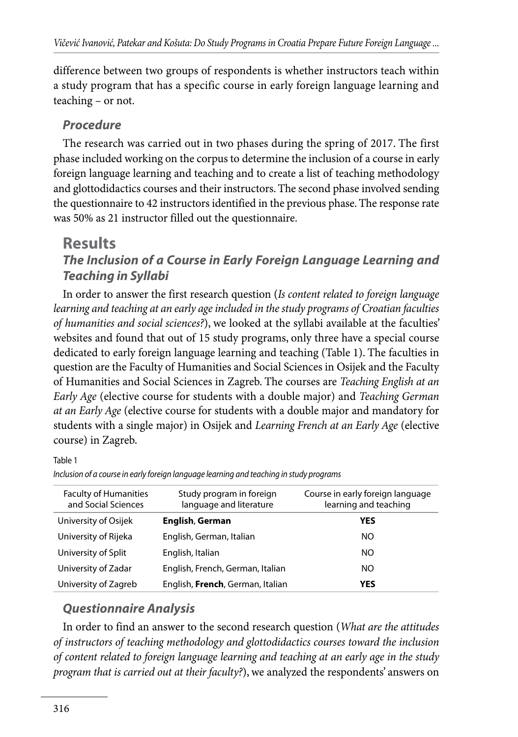difference between two groups of respondents is whether instructors teach within a study program that has a specific course in early foreign language learning and teaching – or not.

#### *Procedure*

The research was carried out in two phases during the spring of 2017. The first phase included working on the corpus to determine the inclusion of a course in early foreign language learning and teaching and to create a list of teaching methodology and glottodidactics courses and their instructors. The second phase involved sending the questionnaire to 42 instructors identified in the previous phase. The response rate was 50% as 21 instructor filled out the questionnaire.

### **Results** *The Inclusion of a Course in Early Foreign Language Learning and Teaching in Syllabi*

In order to answer the first research question (*Is content related to foreign language*  learning and teaching at an early age included in the study programs of Croatian faculties *of humanities and social sciences?*), we looked at the syllabi available at the faculties' websites and found that out of 15 study programs, only three have a special course dedicated to early foreign language learning and teaching (Table 1). The faculties in question are the Faculty of Humanities and Social Sciences in Osijek and the Faculty of Humanities and Social Sciences in Zagreb. The courses are *Teaching English at an Early Age* (elective course for students with a double major) and *Teaching German at an Early Age* (elective course for students with a double major and mandatory for students with a single major) in Osijek and *Learning French at an Early Age* (elective course) in Zagreb.

Table 1

| <b>Faculty of Humanities</b><br>and Social Sciences | Study program in foreign<br>language and literature | Course in early foreign language<br>learning and teaching |
|-----------------------------------------------------|-----------------------------------------------------|-----------------------------------------------------------|
| University of Osijek                                | English, German                                     | <b>YES</b>                                                |
| University of Rijeka                                | English, German, Italian                            | NO.                                                       |
| University of Split                                 | English, Italian                                    | NO.                                                       |
| University of Zadar                                 | English, French, German, Italian                    | NO.                                                       |
| University of Zagreb                                | English, French, German, Italian                    | <b>YES</b>                                                |

*Inclusion of a course in early foreign language learning and teaching in study programs*

#### *Questionnaire Analysis*

In order to find an answer to the second research question (*What are the attitudes of instructors of teaching methodology and glottodidactics courses toward the inclusion of content related to foreign language learning and teaching at an early age in the study program that is carried out at their faculty?*), we analyzed the respondents' answers on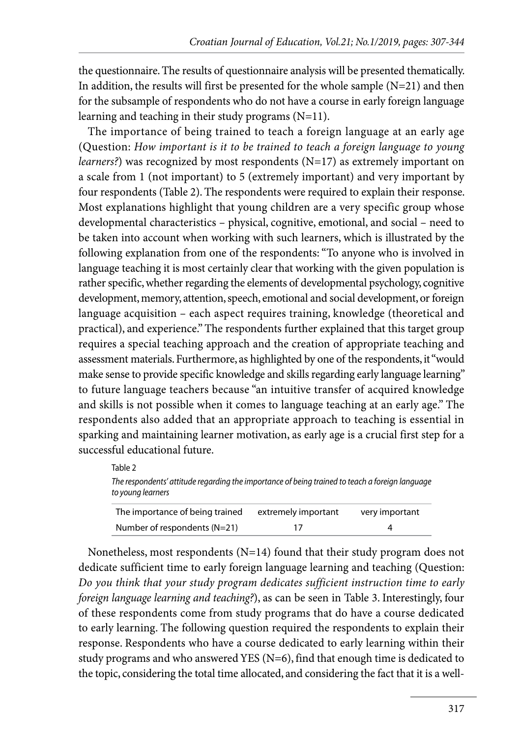the questionnaire. The results of questionnaire analysis will be presented thematically. In addition, the results will first be presented for the whole sample  $(N=21)$  and then for the subsample of respondents who do not have a course in early foreign language learning and teaching in their study programs (N=11).

The importance of being trained to teach a foreign language at an early age (Question: *How important is it to be trained to teach a foreign language to young learners?*) was recognized by most respondents (N=17) as extremely important on a scale from 1 (not important) to 5 (extremely important) and very important by four respondents (Table 2). The respondents were required to explain their response. Most explanations highlight that young children are a very specific group whose developmental characteristics – physical, cognitive, emotional, and social – need to be taken into account when working with such learners, which is illustrated by the following explanation from one of the respondents: "To anyone who is involved in language teaching it is most certainly clear that working with the given population is rather specific, whether regarding the elements of developmental psychology, cognitive development, memory, attention, speech, emotional and social development, or foreign language acquisition – each aspect requires training, knowledge (theoretical and practical), and experience." The respondents further explained that this target group requires a special teaching approach and the creation of appropriate teaching and assessment materials. Furthermore, as highlighted by one of the respondents, it "would make sense to provide specific knowledge and skills regarding early language learning" to future language teachers because "an intuitive transfer of acquired knowledge and skills is not possible when it comes to language teaching at an early age." The respondents also added that an appropriate approach to teaching is essential in sparking and maintaining learner motivation, as early age is a crucial first step for a successful educational future.

| Table 2                                                                                                              |                     |                |
|----------------------------------------------------------------------------------------------------------------------|---------------------|----------------|
| The respondents' attitude regarding the importance of being trained to teach a foreign language<br>to young learners |                     |                |
| The importance of being trained                                                                                      | extremely important | very important |

| The importance of being trained | extremely important | very important |  |
|---------------------------------|---------------------|----------------|--|
| Number of respondents $(N=21)$  |                     |                |  |

Nonetheless, most respondents (N=14) found that their study program does not dedicate sufficient time to early foreign language learning and teaching (Question: *Do you think that your study program dedicates sufficient instruction time to early foreign language learning and teaching?*), as can be seen in Table 3. Interestingly, four of these respondents come from study programs that do have a course dedicated to early learning. The following question required the respondents to explain their response. Respondents who have a course dedicated to early learning within their study programs and who answered YES ( $N=6$ ), find that enough time is dedicated to the topic, considering the total time allocated, and considering the fact that it is a well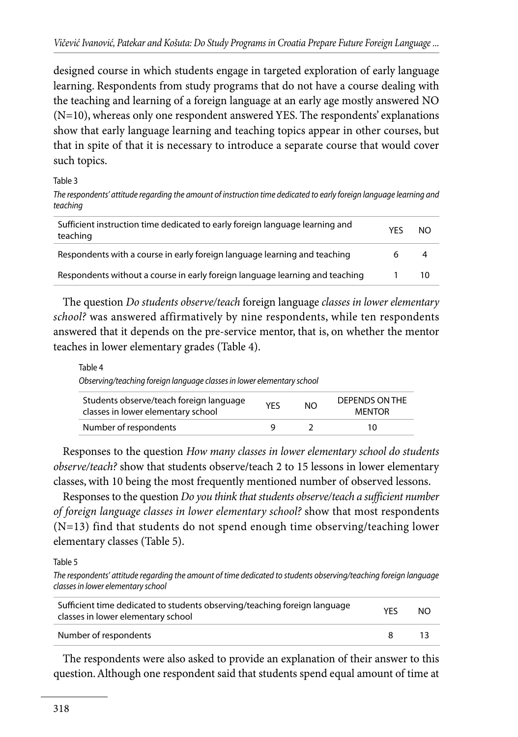designed course in which students engage in targeted exploration of early language learning. Respondents from study programs that do not have a course dealing with the teaching and learning of a foreign language at an early age mostly answered NO (N=10), whereas only one respondent answered YES. The respondents' explanations show that early language learning and teaching topics appear in other courses, but that in spite of that it is necessary to introduce a separate course that would cover such topics.

Table 3

*The respondents' attitude regarding the amount of instruction time dedicated to early foreign language learning and teaching*

| Sufficient instruction time dedicated to early foreign language learning and<br>teaching | YFS | NO. |
|------------------------------------------------------------------------------------------|-----|-----|
| Respondents with a course in early foreign language learning and teaching                |     | 4   |
| Respondents without a course in early foreign language learning and teaching             |     | 10  |

The question *Do students observe/teach* foreign language *classes in lower elementary school?* was answered affirmatively by nine respondents, while ten respondents answered that it depends on the pre-service mentor, that is, on whether the mentor teaches in lower elementary grades (Table 4).

| Table 4                                                                       |     |     |                                        |  |
|-------------------------------------------------------------------------------|-----|-----|----------------------------------------|--|
| Observing/teaching foreign language classes in lower elementary school        |     |     |                                        |  |
| Students observe/teach foreign language<br>classes in lower elementary school | YFS | NO. | <b>DEPENDS ON THE</b><br><b>MENTOR</b> |  |

| Number of respondents                                                               |  |  |
|-------------------------------------------------------------------------------------|--|--|
| Responses to the question How many classes in lower elementary school do students   |  |  |
| observe/teach? show that students observe/teach 2 to 15 lessons in lower elementary |  |  |
| classes, with 10 being the most frequently mentioned number of observed lessons.    |  |  |

Responses to the question *Do you think that students observe/teach a sufficient number of foreign language classes in lower elementary school?* show that most respondents (N=13) find that students do not spend enough time observing/teaching lower elementary classes (Table 5).

Table 5

*The respondents' attitude regarding the amount of time dedicated to students observing/teaching foreign language classes in lower elementary school*

| Sufficient time dedicated to students observing/teaching foreign language<br>classes in lower elementary school |   | NO. |
|-----------------------------------------------------------------------------------------------------------------|---|-----|
| Number of respondents                                                                                           | я |     |

The respondents were also asked to provide an explanation of their answer to this question. Although one respondent said that students spend equal amount of time at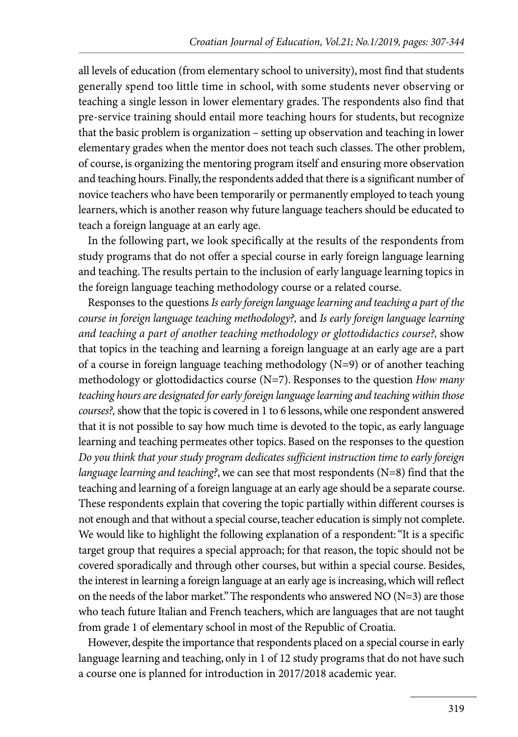all levels of education (from elementary school to university), most find that students generally spend too little time in school, with some students never observing or teaching a single lesson in lower elementary grades. The respondents also find that pre-service training should entail more teaching hours for students, but recognize that the basic problem is organization – setting up observation and teaching in lower elementary grades when the mentor does not teach such classes. The other problem, of course, is organizing the mentoring program itself and ensuring more observation and teaching hours. Finally, the respondents added that there is a significant number of novice teachers who have been temporarily or permanently employed to teach young learners, which is another reason why future language teachers should be educated to teach a foreign language at an early age.

In the following part, we look specifically at the results of the respondents from study programs that do not offer a special course in early foreign language learning and teaching. The results pertain to the inclusion of early language learning topics in the foreign language teaching methodology course or a related course.

Responses to the questions *Is early foreign language learning and teaching a part of the course in foreign language teaching methodology?,* and *Is early foreign language learning and teaching a part of another teaching methodology or glottodidactics course?,* show that topics in the teaching and learning a foreign language at an early age are a part of a course in foreign language teaching methodology (N=9) or of another teaching methodology or glottodidactics course (N=7). Responses to the question *How many teaching hours are designated for early foreign language learning and teaching within those courses?,* show that the topic is covered in 1 to 6 lessons, while one respondent answered that it is not possible to say how much time is devoted to the topic, as early language learning and teaching permeates other topics. Based on the responses to the question *Do you think that your study program dedicates sufficient instruction time to early foreign language learning and teaching?*, we can see that most respondents (N=8) find that the teaching and learning of a foreign language at an early age should be a separate course. These respondents explain that covering the topic partially within different courses is not enough and that without a special course, teacher education is simply not complete. We would like to highlight the following explanation of a respondent: "It is a specific target group that requires a special approach; for that reason, the topic should not be covered sporadically and through other courses, but within a special course. Besides, the interest in learning a foreign language at an early age is increasing, which will reflect on the needs of the labor market." The respondents who answered NO (N=3) are those who teach future Italian and French teachers, which are languages that are not taught from grade 1 of elementary school in most of the Republic of Croatia.

However, despite the importance that respondents placed on a special course in early language learning and teaching, only in 1 of 12 study programs that do not have such a course one is planned for introduction in 2017/2018 academic year.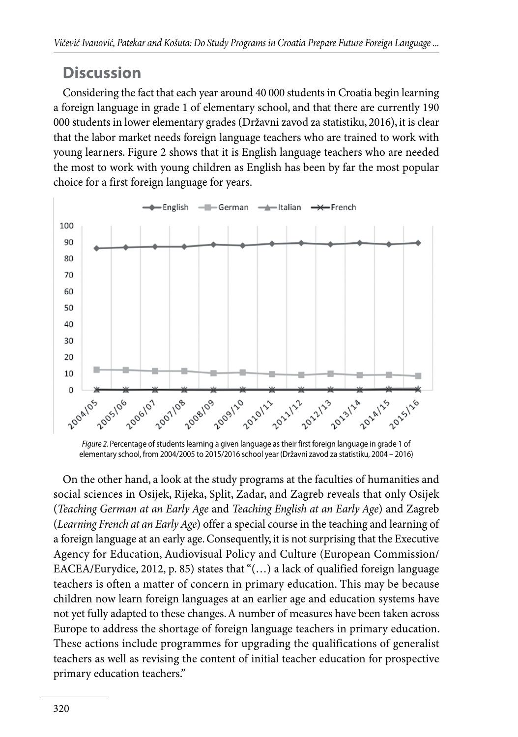# **Discussion**

Considering the fact that each year around 40 000 students in Croatia begin learning a foreign language in grade 1 of elementary school, and that there are currently 190 000 students in lower elementary grades (Državni zavod za statistiku, 2016), it is clear that the labor market needs foreign language teachers who are trained to work with young learners. Figure 2 shows that it is English language teachers who are needed the most to work with young children as English has been by far the most popular choice for a first foreign language for years.



*Figure 2.* Percentage of students learning a given language as their first foreign language in grade 1 of elementary school, from 2004/2005 to 2015/2016 school year (Državni zavod za statistiku, 2004 – 2016)

On the other hand, a look at the study programs at the faculties of humanities and social sciences in Osijek, Rijeka, Split, Zadar, and Zagreb reveals that only Osijek (*Teaching German at an Early Age* and *Teaching English at an Early Age*) and Zagreb (*Learning French at an Early Age*) offer a special course in the teaching and learning of a foreign language at an early age. Consequently, it is not surprising that the Executive Agency for Education, Audiovisual Policy and Culture (European Commission/ EACEA/Eurydice, 2012, p. 85) states that "(…) a lack of qualified foreign language teachers is often a matter of concern in primary education. This may be because children now learn foreign languages at an earlier age and education systems have not yet fully adapted to these changes. A number of measures have been taken across Europe to address the shortage of foreign language teachers in primary education. These actions include programmes for upgrading the qualifications of generalist teachers as well as revising the content of initial teacher education for prospective primary education teachers."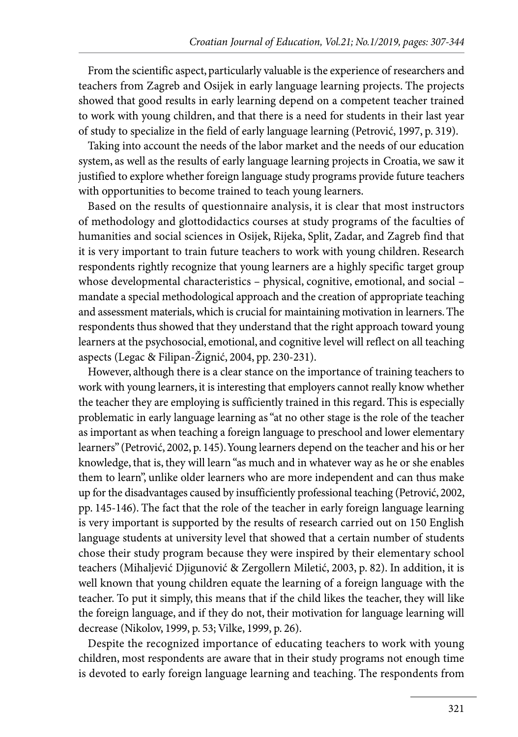From the scientific aspect, particularly valuable is the experience of researchers and teachers from Zagreb and Osijek in early language learning projects. The projects showed that good results in early learning depend on a competent teacher trained to work with young children, and that there is a need for students in their last year of study to specialize in the field of early language learning (Petrović, 1997, p. 319).

Taking into account the needs of the labor market and the needs of our education system, as well as the results of early language learning projects in Croatia, we saw it justified to explore whether foreign language study programs provide future teachers with opportunities to become trained to teach young learners.

Based on the results of questionnaire analysis, it is clear that most instructors of methodology and glottodidactics courses at study programs of the faculties of humanities and social sciences in Osijek, Rijeka, Split, Zadar, and Zagreb find that it is very important to train future teachers to work with young children. Research respondents rightly recognize that young learners are a highly specific target group whose developmental characteristics – physical, cognitive, emotional, and social – mandate a special methodological approach and the creation of appropriate teaching and assessment materials, which is crucial for maintaining motivation in learners. The respondents thus showed that they understand that the right approach toward young learners at the psychosocial, emotional, and cognitive level will reflect on all teaching aspects (Legac & Filipan-Žignić, 2004, pp. 230-231).

However, although there is a clear stance on the importance of training teachers to work with young learners, it is interesting that employers cannot really know whether the teacher they are employing is sufficiently trained in this regard. This is especially problematic in early language learning as "at no other stage is the role of the teacher as important as when teaching a foreign language to preschool and lower elementary learners" (Petrović, 2002, p. 145). Young learners depend on the teacher and his or her knowledge, that is, they will learn "as much and in whatever way as he or she enables them to learn", unlike older learners who are more independent and can thus make up for the disadvantages caused by insufficiently professional teaching (Petrović, 2002, pp. 145-146). The fact that the role of the teacher in early foreign language learning is very important is supported by the results of research carried out on 150 English language students at university level that showed that a certain number of students chose their study program because they were inspired by their elementary school teachers (Mihaljević Djigunović & Zergollern Miletić, 2003, p. 82). In addition, it is well known that young children equate the learning of a foreign language with the teacher. To put it simply, this means that if the child likes the teacher, they will like the foreign language, and if they do not, their motivation for language learning will decrease (Nikolov, 1999, p. 53; Vilke, 1999, p. 26).

Despite the recognized importance of educating teachers to work with young children, most respondents are aware that in their study programs not enough time is devoted to early foreign language learning and teaching. The respondents from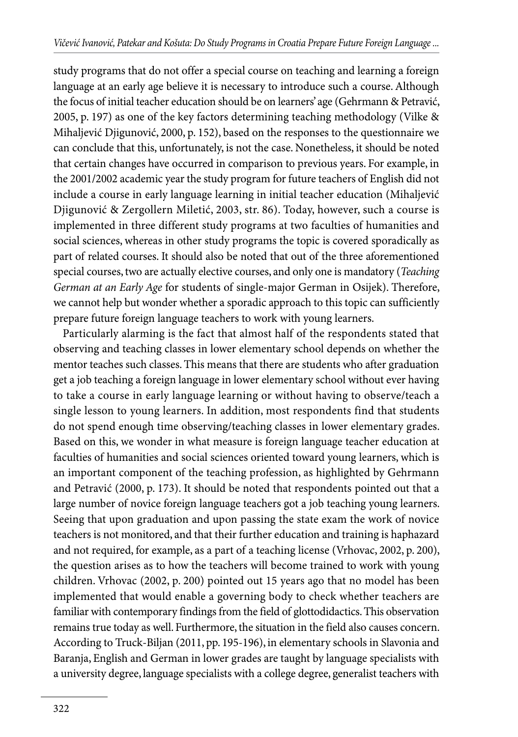study programs that do not offer a special course on teaching and learning a foreign language at an early age believe it is necessary to introduce such a course. Although the focus of initial teacher education should be on learners' age (Gehrmann & Petravić, 2005, p. 197) as one of the key factors determining teaching methodology (Vilke & Mihaljević Djigunović, 2000, p. 152), based on the responses to the questionnaire we can conclude that this, unfortunately, is not the case. Nonetheless, it should be noted that certain changes have occurred in comparison to previous years. For example, in the 2001/2002 academic year the study program for future teachers of English did not include a course in early language learning in initial teacher education (Mihaljević Djigunović & Zergollern Miletić, 2003, str. 86). Today, however, such a course is implemented in three different study programs at two faculties of humanities and social sciences, whereas in other study programs the topic is covered sporadically as part of related courses. It should also be noted that out of the three aforementioned special courses, two are actually elective courses, and only one is mandatory (*Teaching German at an Early Age* for students of single-major German in Osijek). Therefore, we cannot help but wonder whether a sporadic approach to this topic can sufficiently prepare future foreign language teachers to work with young learners.

Particularly alarming is the fact that almost half of the respondents stated that observing and teaching classes in lower elementary school depends on whether the mentor teaches such classes. This means that there are students who after graduation get a job teaching a foreign language in lower elementary school without ever having to take a course in early language learning or without having to observe/teach a single lesson to young learners. In addition, most respondents find that students do not spend enough time observing/teaching classes in lower elementary grades. Based on this, we wonder in what measure is foreign language teacher education at faculties of humanities and social sciences oriented toward young learners, which is an important component of the teaching profession, as highlighted by Gehrmann and Petravić (2000, p. 173). It should be noted that respondents pointed out that a large number of novice foreign language teachers got a job teaching young learners. Seeing that upon graduation and upon passing the state exam the work of novice teachers is not monitored, and that their further education and training is haphazard and not required, for example, as a part of a teaching license (Vrhovac, 2002, p. 200), the question arises as to how the teachers will become trained to work with young children. Vrhovac (2002, p. 200) pointed out 15 years ago that no model has been implemented that would enable a governing body to check whether teachers are familiar with contemporary findings from the field of glottodidactics. This observation remains true today as well. Furthermore, the situation in the field also causes concern. According to Truck-Biljan (2011, pp. 195-196), in elementary schools in Slavonia and Baranja, English and German in lower grades are taught by language specialists with a university degree, language specialists with a college degree, generalist teachers with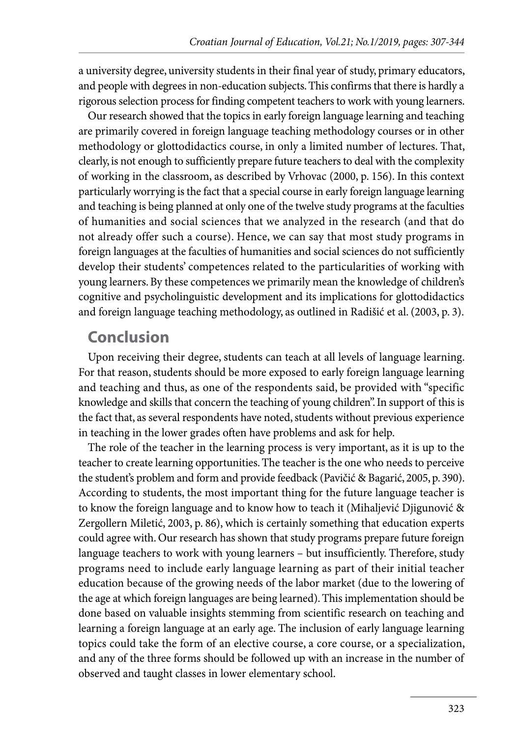a university degree, university students in their final year of study, primary educators, and people with degrees in non-education subjects. This confirms that there is hardly a rigorous selection process for finding competent teachers to work with young learners.

Our research showed that the topics in early foreign language learning and teaching are primarily covered in foreign language teaching methodology courses or in other methodology or glottodidactics course, in only a limited number of lectures. That, clearly, is not enough to sufficiently prepare future teachers to deal with the complexity of working in the classroom, as described by Vrhovac (2000, p. 156). In this context particularly worrying is the fact that a special course in early foreign language learning and teaching is being planned at only one of the twelve study programs at the faculties of humanities and social sciences that we analyzed in the research (and that do not already offer such a course). Hence, we can say that most study programs in foreign languages at the faculties of humanities and social sciences do not sufficiently develop their students' competences related to the particularities of working with young learners. By these competences we primarily mean the knowledge of children's cognitive and psycholinguistic development and its implications for glottodidactics and foreign language teaching methodology, as outlined in Radišić et al. (2003, p. 3).

# **Conclusion**

Upon receiving their degree, students can teach at all levels of language learning. For that reason, students should be more exposed to early foreign language learning and teaching and thus, as one of the respondents said, be provided with "specific knowledge and skills that concern the teaching of young children". In support of this is the fact that, as several respondents have noted, students without previous experience in teaching in the lower grades often have problems and ask for help.

The role of the teacher in the learning process is very important, as it is up to the teacher to create learning opportunities. The teacher is the one who needs to perceive the student's problem and form and provide feedback (Pavičić & Bagarić, 2005, p. 390). According to students, the most important thing for the future language teacher is to know the foreign language and to know how to teach it (Mihaljević Djigunović & Zergollern Miletić, 2003, p. 86), which is certainly something that education experts could agree with. Our research has shown that study programs prepare future foreign language teachers to work with young learners – but insufficiently. Therefore, study programs need to include early language learning as part of their initial teacher education because of the growing needs of the labor market (due to the lowering of the age at which foreign languages are being learned). This implementation should be done based on valuable insights stemming from scientific research on teaching and learning a foreign language at an early age. The inclusion of early language learning topics could take the form of an elective course, a core course, or a specialization, and any of the three forms should be followed up with an increase in the number of observed and taught classes in lower elementary school.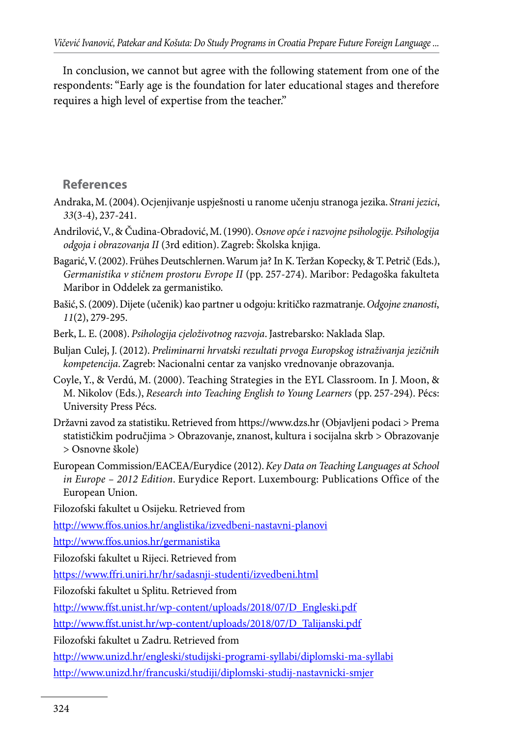In conclusion, we cannot but agree with the following statement from one of the respondents: "Early age is the foundation for later educational stages and therefore requires a high level of expertise from the teacher."

#### **References**

- Andraka, M. (2004). Ocjenjivanje uspješnosti u ranome učenju stranoga jezika. *Strani jezici*, *33*(3-4), 237-241.
- Andrilović, V., & Čudina-Obradović, M. (1990). *Osnove opće i razvojne psihologije. Psihologija odgoja i obrazovanja II* (3rd edition). Zagreb: Školska knjiga.
- Bagarić, V. (2002). Frühes Deutschlernen. Warum ja? In K. Teržan Kopecky, & T. Petrič (Eds.), *Germanistika v stičnem prostoru Evrope II* (pp. 257-274). Maribor: Pedagoška fakulteta Maribor in Oddelek za germanistiko.
- Bašić, S. (2009). Dijete (učenik) kao partner u odgoju: kritičko razmatranje. *Odgojne znanosti*, *11*(2), 279-295.
- Berk, L. E. (2008). *Psihologija cjeloživotnog razvoja*. Jastrebarsko: Naklada Slap.
- Buljan Culej, J. (2012). *Preliminarni hrvatski rezultati prvoga Europskog istraživanja jezičnih kompetencija*. Zagreb: Nacionalni centar za vanjsko vrednovanje obrazovanja.
- Coyle, Y., & Verdú, M. (2000). Teaching Strategies in the EYL Classroom. In J. Moon, & M. Nikolov (Eds.), *Research into Teaching English to Young Learners* (pp. 257-294). Pécs: University Press Pécs.
- Državni zavod za statistiku. Retrieved from https://www.dzs.hr (Objavljeni podaci > Prema statističkim područjima > Obrazovanje, znanost, kultura i socijalna skrb > Obrazovanje > Osnovne škole)
- European Commission/EACEA/Eurydice (2012). *Key Data on Teaching Languages at School in Europe – 2012 Edition*. Eurydice Report. Luxembourg: Publications Office of the European Union.

Filozofski fakultet u Osijeku. Retrieved from

http://www.ffos.unios.hr/anglistika/izvedbeni-nastavni-planovi

http://www.ffos.unios.hr/germanistika

Filozofski fakultet u Rijeci. Retrieved from

https://www.ffri.uniri.hr/hr/sadasnji-studenti/izvedbeni.html

Filozofski fakultet u Splitu. Retrieved from

http://www.ffst.unist.hr/wp-content/uploads/2018/07/D\_Engleski.pdf

http://www.ffst.unist.hr/wp-content/uploads/2018/07/D\_Talijanski.pdf

Filozofski fakultet u Zadru. Retrieved from

http://www.unizd.hr/engleski/studijski-programi-syllabi/diplomski-ma-syllabi http://www.unizd.hr/francuski/studiji/diplomski-studij-nastavnicki-smjer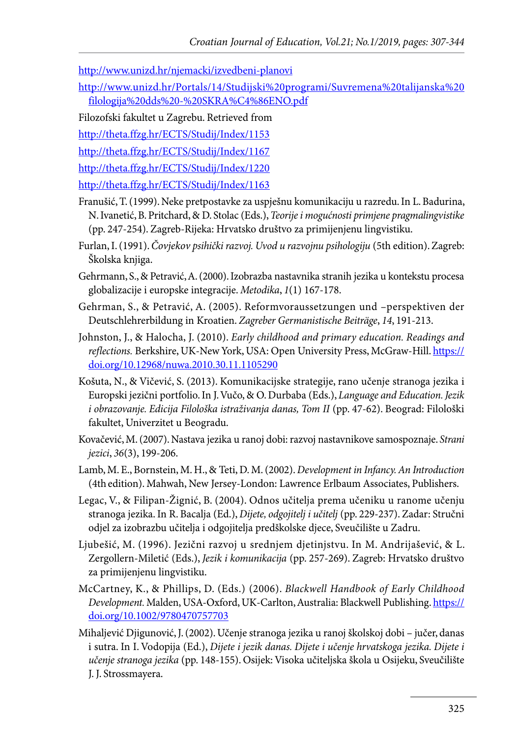http://www.unizd.hr/njemacki/izvedbeni-planovi

- http://www.unizd.hr/Portals/14/Studijski%20programi/Suvremena%20talijanska%20 filologija%20dds%20-%20SKRA%C4%86ENO.pdf
- Filozofski fakultet u Zagrebu. Retrieved from

http://theta.ffzg.hr/ECTS/Studij/Index/1153

http://theta.ffzg.hr/ECTS/Studij/Index/1167

http://theta.ffzg.hr/ECTS/Studij/Index/1220

http://theta.ffzg.hr/ECTS/Studij/Index/1163

- Franušić, T. (1999). Neke pretpostavke za uspješnu komunikaciju u razredu. In L. Badurina, N. Ivanetić, B. Pritchard, & D. Stolac (Eds.), *Teorije i mogućnosti primjene pragmalingvistike* (pp. 247-254). Zagreb-Rijeka: Hrvatsko društvo za primijenjenu lingvistiku.
- Furlan, I. (1991). *Čovjekov psihički razvoj. Uvod u razvojnu psihologiju* (5th edition). Zagreb: Školska knjiga.
- Gehrmann, S., & Petravić, A. (2000). Izobrazba nastavnika stranih jezika u kontekstu procesa globalizacije i europske integracije. *Metodika*, *1*(1) 167-178.
- Gehrman, S., & Petravić, A. (2005). Reformvoraussetzungen und –perspektiven der Deutschlehrerbildung in Kroatien. *Zagreber Germanistische Beiträge*, *14*, 191-213.
- Johnston, J., & Halocha, J. (2010). *Early childhood and primary education. Readings and reflections.* Berkshire, UK-New York, USA: Open University Press, McGraw-Hill. https:// doi.org/10.12968/nuwa.2010.30.11.1105290
- Košuta, N., & Vičević, S. (2013). Komunikacijske strategije, rano učenje stranoga jezika i Europski jezični portfolio. In J. Vučo, & O. Durbaba (Eds.), *Language and Education. Jezik i obrazovanje. Edicija Filološka istraživanja danas, Tom II* (pp. 47-62). Beograd: Filološki fakultet, Univerzitet u Beogradu.
- Kovačević, M. (2007). Nastava jezika u ranoj dobi: razvoj nastavnikove samospoznaje. *Strani jezici*, *36*(3), 199-206.
- Lamb, M. E., Bornstein, M. H., & Teti, D. M. (2002). *Development in Infancy. An Introduction*  (4thedition). Mahwah, New Jersey-London: Lawrence Erlbaum Associates, Publishers.
- Legac, V., & Filipan-Žignić, B. (2004). Odnos učitelja prema učeniku u ranome učenju stranoga jezika. In R. Bacalja (Ed.), *Dijete, odgojitelj i učitelj* (pp. 229-237). Zadar: Stručni odjel za izobrazbu učitelja i odgojitelja predškolske djece, Sveučilište u Zadru.
- Ljubešić, M. (1996). Jezični razvoj u srednjem djetinjstvu. In M. Andrijašević, & L. Zergollern-Miletić (Eds.), *Jezik i komunikacija* (pp. 257-269). Zagreb: Hrvatsko društvo za primijenjenu lingvistiku.
- McCartney, K., & Phillips, D. (Eds.) (2006). *Blackwell Handbook of Early Childhood Development.* Malden, USA-Oxford, UK-Carlton, Australia: Blackwell Publishing. https:// doi.org/10.1002/9780470757703
- Mihaljević Djigunović, J. (2002). Učenje stranoga jezika u ranoj školskoj dobi jučer, danas i sutra. In I. Vodopija (Ed.), *Dijete i jezik danas. Dijete i učenje hrvatskoga jezika. Dijete i učenje stranoga jezika* (pp. 148-155). Osijek: Visoka učiteljska škola u Osijeku, Sveučilište J. J. Strossmayera.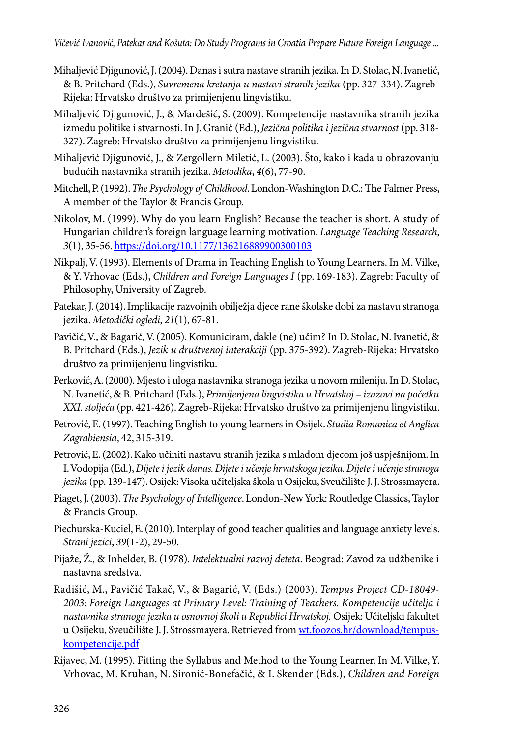- Mihaljević Djigunović, J. (2004). Danas i sutra nastave stranih jezika. In D. Stolac, N. Ivanetić, & B. Pritchard (Eds.), *Suvremena kretanja u nastavi stranih jezika* (pp. 327-334). Zagreb-Rijeka: Hrvatsko društvo za primijenjenu lingvistiku.
- Mihaljević Djigunović, J., & Mardešić, S. (2009). Kompetencije nastavnika stranih jezika između politike i stvarnosti. In J. Granić (Ed.), *Jezična politika i jezična stvarnost* (pp. 318- 327). Zagreb: Hrvatsko društvo za primijenjenu lingvistiku.
- Mihaljević Djigunović, J., & Zergollern Miletić, L. (2003). Što, kako i kada u obrazovanju budućih nastavnika stranih jezika. *Metodika*, *4*(6), 77-90.
- Mitchell, P. (1992). *The Psychology of Childhood*. London-Washington D.C.: The Falmer Press, A member of the Taylor & Francis Group.
- Nikolov, M. (1999). Why do you learn English? Because the teacher is short. A study of Hungarian children's foreign language learning motivation. *Language Teaching Research*, *3*(1), 35-56. https://doi.org/10.1177/136216889900300103
- Nikpalj, V. (1993). Elements of Drama in Teaching English to Young Learners. In M. Vilke, & Y. Vrhovac (Eds.), *Children and Foreign Languages I* (pp. 169-183). Zagreb: Faculty of Philosophy, University of Zagreb.
- Patekar, J. (2014). Implikacije razvojnih obilježja djece rane školske dobi za nastavu stranoga jezika. *Metodički ogledi*, *21*(1), 67-81.
- Pavičić, V., & Bagarić, V. (2005). Komuniciram, dakle (ne) učim? In D. Stolac, N. Ivanetić, & B. Pritchard (Eds.), *Jezik u društvenoj interakciji* (pp. 375-392). Zagreb-Rijeka: Hrvatsko društvo za primijenjenu lingvistiku.
- Perković, A. (2000). Mjesto i uloga nastavnika stranoga jezika u novom mileniju. In D. Stolac, N. Ivanetić, & B. Pritchard (Eds.), *Primijenjena lingvistika u Hrvatskoj – izazovi na početku XXI. stoljeća* (pp. 421-426). Zagreb-Rijeka: Hrvatsko društvo za primijenjenu lingvistiku.
- Petrović, E. (1997). Teaching English to young learners in Osijek. *Studia Romanica et Anglica Zagrabiensia*, 42, 315-319.
- Petrović, E. (2002). Kako učiniti nastavu stranih jezika s mlađom djecom još uspješnijom. In I. Vodopija (Ed.), *Dijete i jezik danas. Dijete i učenje hrvatskoga jezika. Dijete i učenje stranoga jezika* (pp. 139-147). Osijek: Visoka učiteljska škola u Osijeku, Sveučilište J. J. Strossmayera.
- Piaget, J. (2003). *The Psychology of Intelligence*. London-New York: Routledge Classics, Taylor & Francis Group.
- Piechurska-Kuciel, E. (2010). Interplay of good teacher qualities and language anxiety levels. *Strani jezici*, *39*(1-2), 29-50.
- Pijaže, Ž., & Inhelder, B. (1978). *Intelektualni razvoj deteta*. Beograd: Zavod za udžbenike i nastavna sredstva.
- Radišić, M., Pavičić Takač, V., & Bagarić, V. (Eds.) (2003). *Tempus Project CD-18049- 2003: Foreign Languages at Primary Level: Training of Teachers. Kompetencije učitelja i nastavnika stranoga jezika u osnovnoj školi u Republici Hrvatskoj.* Osijek: Učiteljski fakultet u Osijeku, Sveučilište J. J. Strossmayera. Retrieved from wt.foozos.hr/download/tempuskompetencije.pdf
- Rijavec, M. (1995). Fitting the Syllabus and Method to the Young Learner. In M. Vilke, Y. Vrhovac, M. Kruhan, N. Sironić-Bonefačić, & I. Skender (Eds.), *Children and Foreign*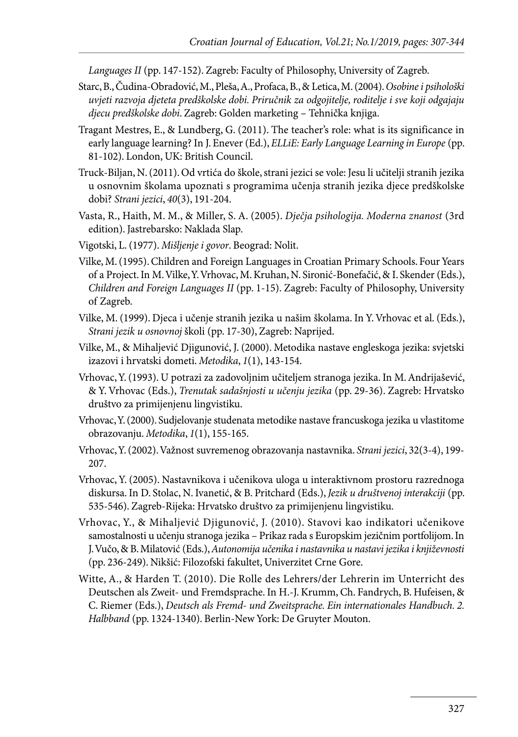*Languages II* (pp. 147-152). Zagreb: Faculty of Philosophy, University of Zagreb.

- Starc, B., Čudina-Obradović, M., Pleša, A., Profaca, B., & Letica, M. (2004). *Osobine i psihološki uvjeti razvoja djeteta predškolske dobi. Priručnik za odgojitelje, roditelje i sve koji odgajaju djecu predškolske dobi*. Zagreb: Golden marketing – Tehnička knjiga.
- Tragant Mestres, E., & Lundberg, G. (2011). The teacher's role: what is its significance in early language learning? In J. Enever (Ed.), *ELLiE: Early Language Learning in Europe* (pp. 81-102). London, UK: British Council.
- Truck-Biljan, N. (2011). Od vrtića do škole, strani jezici se vole: Jesu li učitelji stranih jezika u osnovnim školama upoznati s programima učenja stranih jezika djece predškolske dobi? *Strani jezici*, *40*(3), 191-204.
- Vasta, R., Haith, M. M., & Miller, S. A. (2005). *Dječja psihologija. Moderna znanost* (3rd edition). Jastrebarsko: Naklada Slap.
- Vigotski, L. (1977). *Mišljenje i govor*. Beograd: Nolit.
- Vilke, M. (1995). Children and Foreign Languages in Croatian Primary Schools. Four Years of a Project. In M. Vilke, Y. Vrhovac, M. Kruhan, N. Sironić-Bonefačić, & I. Skender (Eds.), *Children and Foreign Languages II* (pp. 1-15). Zagreb: Faculty of Philosophy, University of Zagreb.
- Vilke, M. (1999). Djeca i učenje stranih jezika u našim školama. In Y. Vrhovac et al. (Eds.), *Strani jezik u osnovnoj* školi (pp. 17-30), Zagreb: Naprijed.
- Vilke, M., & Mihaljević Djigunović, J. (2000). Metodika nastave engleskoga jezika: svjetski izazovi i hrvatski dometi. *Metodika*, *1*(1), 143-154.
- Vrhovac, Y. (1993). U potrazi za zadovoljnim učiteljem stranoga jezika. In M. Andrijašević, & Y. Vrhovac (Eds.), *Trenutak sadašnjosti u učenju jezika* (pp. 29-36). Zagreb: Hrvatsko društvo za primijenjenu lingvistiku.
- Vrhovac, Y. (2000). Sudjelovanje studenata metodike nastave francuskoga jezika u vlastitome obrazovanju. *Metodika*, *1*(1), 155-165.
- Vrhovac, Y. (2002). Važnost suvremenog obrazovanja nastavnika. *Strani jezici*, 32(3-4), 199- 207.
- Vrhovac, Y. (2005). Nastavnikova i učenikova uloga u interaktivnom prostoru razrednoga diskursa. In D. Stolac, N. Ivanetić, & B. Pritchard (Eds.), *Jezik u društvenoj interakciji* (pp. 535-546). Zagreb-Rijeka: Hrvatsko društvo za primijenjenu lingvistiku.
- Vrhovac, Y., & Mihaljević Djigunović, J. (2010). Stavovi kao indikatori učenikove samostalnosti u učenju stranoga jezika – Prikaz rada s Europskim jezičnim portfolijom. In J. Vučo, & B. Milatović (Eds.), *Autonomija učenika i nastavnika u nastavi jezika i književnosti* (pp. 236-249). Nikšić: Filozofski fakultet, Univerzitet Crne Gore.
- Witte, A., & Harden T. (2010). Die Rolle des Lehrers/der Lehrerin im Unterricht des Deutschen als Zweit- und Fremdsprache. In H.-J. Krumm, Ch. Fandrych, B. Hufeisen, & C. Riemer (Eds.), *Deutsch als Fremd- und Zweitsprache. Ein internationales Handbuch. 2. Halbband* (pp. 1324-1340). Berlin-New York: De Gruyter Mouton.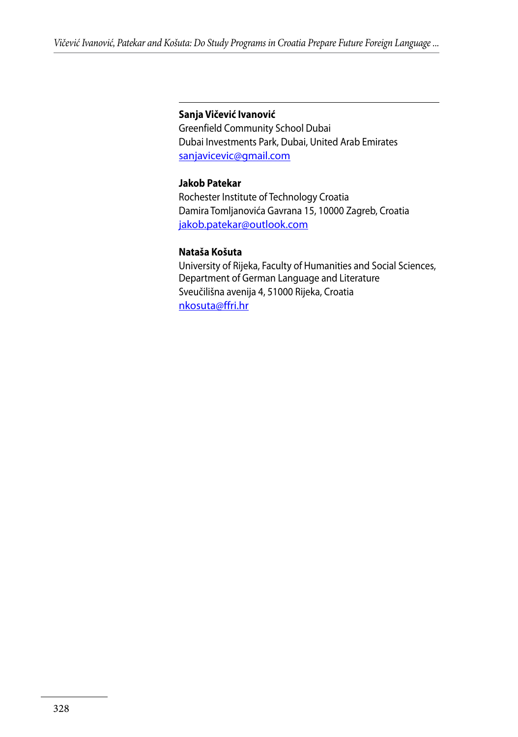#### **Sanja Vičević Ivanović**

Greenfield Community School Dubai Dubai Investments Park, Dubai, United Arab Emirates sanjavicevic@gmail.com

#### **Jakob Patekar**

Rochester Institute of Technology Croatia Damira Tomljanovića Gavrana 15, 10000 Zagreb, Croatia jakob.patekar@outlook.com

#### **Nataša Košuta**

University of Rijeka, Faculty of Humanities and Social Sciences, Department of German Language and Literature Sveučilišna avenija 4, 51000 Rijeka, Croatia nkosuta@ffri.hr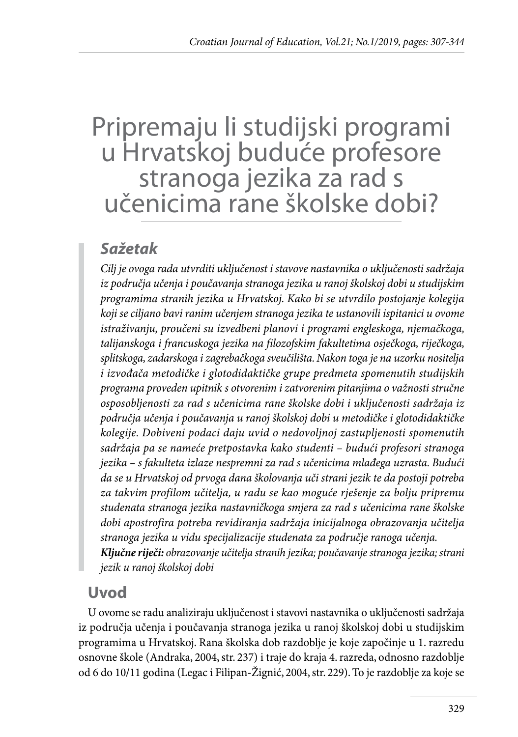# Pripremaju li studijski programi u Hrvatskoj buduće profesore stranoga jezika za rad s učenicima rane školske dobi?

# *Sažetak*

*Cilj je ovoga rada utvrditi uključenost i stavove nastavnika o uključenosti sadržaja iz područja učenja i poučavanja stranoga jezika u ranoj školskoj dobi u studijskim programima stranih jezika u Hrvatskoj. Kako bi se utvrdilo postojanje kolegija koji se ciljano bavi ranim učenjem stranoga jezika te ustanovili ispitanici u ovome istraživanju, proučeni su izvedbeni planovi i programi engleskoga, njemačkoga, talijanskoga i francuskoga jezika na filozofskim fakultetima osječkoga, riječkoga, splitskoga, zadarskoga i zagrebačkoga sveučilišta. Nakon toga je na uzorku nositelja i izvođača metodičke i glotodidaktičke grupe predmeta spomenutih studijskih programa proveden upitnik s otvorenim i zatvorenim pitanjima o važnosti stručne osposobljenosti za rad s učenicima rane školske dobi i uključenosti sadržaja iz područja učenja i poučavanja u ranoj školskoj dobi u metodičke i glotodidaktičke kolegije. Dobiveni podaci daju uvid o nedovoljnoj zastupljenosti spomenutih sadržaja pa se nameće pretpostavka kako studenti – budući profesori stranoga jezika – s fakulteta izlaze nespremni za rad s učenicima mlađega uzrasta. Budući da se u Hrvatskoj od prvoga dana školovanja uči strani jezik te da postoji potreba za takvim profilom učitelja, u radu se kao moguće rješenje za bolju pripremu studenata stranoga jezika nastavničkoga smjera za rad s učenicima rane školske dobi apostrofira potreba revidiranja sadržaja inicijalnoga obrazovanja učitelja stranoga jezika u vidu specijalizacije studenata za područje ranoga učenja. Ključne riječi: obrazovanje učitelja stranih jezika; poučavanje stranoga jezika; strani jezik u ranoj školskoj dobi*

# **Uvod**

U ovome se radu analiziraju uključenost i stavovi nastavnika o uključenosti sadržaja iz područja učenja i poučavanja stranoga jezika u ranoj školskoj dobi u studijskim programima u Hrvatskoj. Rana školska dob razdoblje je koje započinje u 1. razredu osnovne škole (Andraka, 2004, str. 237) i traje do kraja 4. razreda, odnosno razdoblje od 6 do 10/11 godina (Legac i Filipan-Žignić, 2004, str. 229). To je razdoblje za koje se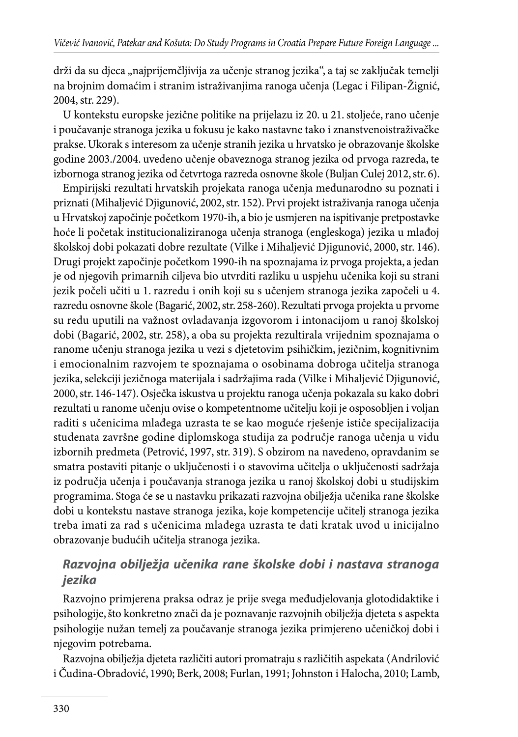drži da su djeca "najprijemčljivija za učenje stranog jezika", a taj se zaključak temelji na brojnim domaćim i stranim istraživanjima ranoga učenja (Legac i Filipan-Žignić, 2004, str. 229).

U kontekstu europske jezične politike na prijelazu iz 20. u 21. stoljeće, rano učenje i poučavanje stranoga jezika u fokusu je kako nastavne tako i znanstvenoistraživačke prakse. Ukorak s interesom za učenje stranih jezika u hrvatsko je obrazovanje školske godine 2003./2004. uvedeno učenje obaveznoga stranog jezika od prvoga razreda, te izbornoga stranog jezika od četvrtoga razreda osnovne škole (Buljan Culej 2012, str. 6).

Empirijski rezultati hrvatskih projekata ranoga učenja međunarodno su poznati i priznati (Mihaljević Djigunović, 2002, str. 152). Prvi projekt istraživanja ranoga učenja u Hrvatskoj započinje početkom 1970-ih, a bio je usmjeren na ispitivanje pretpostavke hoće li početak institucionaliziranoga učenja stranoga (engleskoga) jezika u mlađoj školskoj dobi pokazati dobre rezultate (Vilke i Mihaljević Djigunović, 2000, str. 146). Drugi projekt započinje početkom 1990-ih na spoznajama iz prvoga projekta, a jedan je od njegovih primarnih ciljeva bio utvrditi razliku u uspjehu učenika koji su strani jezik počeli učiti u 1. razredu i onih koji su s učenjem stranoga jezika započeli u 4. razredu osnovne škole (Bagarić, 2002, str. 258-260). Rezultati prvoga projekta u prvome su redu uputili na važnost ovladavanja izgovorom i intonacijom u ranoj školskoj dobi (Bagarić, 2002, str. 258), a oba su projekta rezultirala vrijednim spoznajama o ranome učenju stranoga jezika u vezi s djetetovim psihičkim, jezičnim, kognitivnim i emocionalnim razvojem te spoznajama o osobinama dobroga učitelja stranoga jezika, selekciji jezičnoga materijala i sadržajima rada (Vilke i Mihaljević Djigunović, 2000, str. 146-147). Osječka iskustva u projektu ranoga učenja pokazala su kako dobri rezultati u ranome učenju ovise o kompetentnome učitelju koji je osposobljen i voljan raditi s učenicima mlađega uzrasta te se kao moguće rješenje ističe specijalizacija studenata završne godine diplomskoga studija za područje ranoga učenja u vidu izbornih predmeta (Petrović, 1997, str. 319). S obzirom na navedeno, opravdanim se smatra postaviti pitanje o uključenosti i o stavovima učitelja o uključenosti sadržaja iz područja učenja i poučavanja stranoga jezika u ranoj školskoj dobi u studijskim programima. Stoga će se u nastavku prikazati razvojna obilježja učenika rane školske dobi u kontekstu nastave stranoga jezika, koje kompetencije učitelj stranoga jezika treba imati za rad s učenicima mlađega uzrasta te dati kratak uvod u inicijalno obrazovanje budućih učitelja stranoga jezika.

#### *Razvojna obilježja učenika rane školske dobi i nastava stranoga jezika*

Razvojno primjerena praksa odraz je prije svega međudjelovanja glotodidaktike i psihologije, što konkretno znači da je poznavanje razvojnih obilježja djeteta s aspekta psihologije nužan temelj za poučavanje stranoga jezika primjereno učeničkoj dobi i njegovim potrebama.

Razvojna obilježja djeteta različiti autori promatraju s različitih aspekata (Andrilović i Čudina-Obradović, 1990; Berk, 2008; Furlan, 1991; Johnston i Halocha, 2010; Lamb,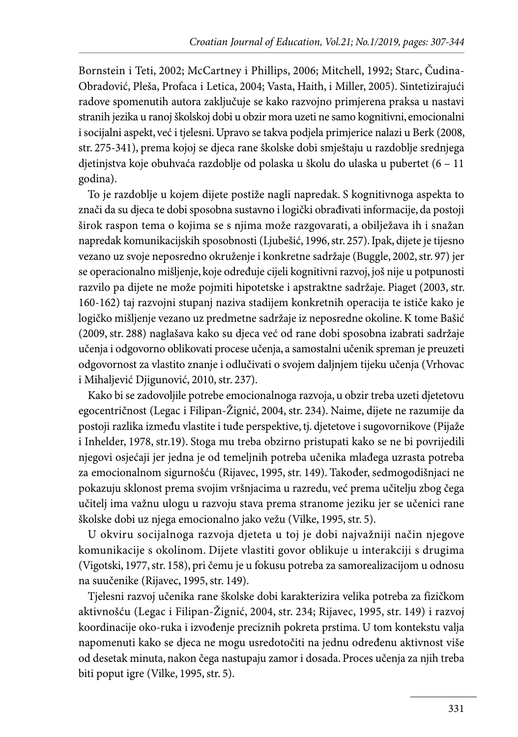Bornstein i Teti, 2002; McCartney i Phillips, 2006; Mitchell, 1992; Starc, Čudina-Obradović, Pleša, Profaca i Letica, 2004; Vasta, Haith, i Miller, 2005). Sintetizirajući radove spomenutih autora zaključuje se kako razvojno primjerena praksa u nastavi stranih jezika u ranoj školskoj dobi u obzir mora uzeti ne samo kognitivni, emocionalni i socijalni aspekt, već i tjelesni. Upravo se takva podjela primjerice nalazi u Berk (2008, str. 275-341), prema kojoj se djeca rane školske dobi smještaju u razdoblje srednjega djetinjstva koje obuhvaća razdoblje od polaska u školu do ulaska u pubertet (6 – 11 godina).

To je razdoblje u kojem dijete postiže nagli napredak. S kognitivnoga aspekta to znači da su djeca te dobi sposobna sustavno i logički obrađivati informacije, da postoji širok raspon tema o kojima se s njima može razgovarati, a obilježava ih i snažan napredak komunikacijskih sposobnosti (Ljubešić, 1996, str. 257). Ipak, dijete je tijesno vezano uz svoje neposredno okruženje i konkretne sadržaje (Buggle, 2002, str. 97) jer se operacionalno mišljenje, koje određuje cijeli kognitivni razvoj, još nije u potpunosti razvilo pa dijete ne može pojmiti hipotetske i apstraktne sadržaje. Piaget (2003, str. 160-162) taj razvojni stupanj naziva stadijem konkretnih operacija te ističe kako je logičko mišljenje vezano uz predmetne sadržaje iz neposredne okoline. K tome Bašić (2009, str. 288) naglašava kako su djeca već od rane dobi sposobna izabrati sadržaje učenja i odgovorno oblikovati procese učenja, a samostalni učenik spreman je preuzeti odgovornost za vlastito znanje i odlučivati o svojem daljnjem tijeku učenja (Vrhovac i Mihaljević Djigunović, 2010, str. 237).

Kako bi se zadovoljile potrebe emocionalnoga razvoja, u obzir treba uzeti djetetovu egocentričnost (Legac i Filipan-Žignić, 2004, str. 234). Naime, dijete ne razumije da postoji razlika između vlastite i tuđe perspektive, tj. djetetove i sugovornikove (Pijaže i Inhelder, 1978, str.19). Stoga mu treba obzirno pristupati kako se ne bi povrijedili njegovi osjećaji jer jedna je od temeljnih potreba učenika mlađega uzrasta potreba za emocionalnom sigurnošću (Rijavec, 1995, str. 149). Također, sedmogodišnjaci ne pokazuju sklonost prema svojim vršnjacima u razredu, već prema učitelju zbog čega učitelj ima važnu ulogu u razvoju stava prema stranome jeziku jer se učenici rane školske dobi uz njega emocionalno jako vežu (Vilke, 1995, str. 5).

U okviru socijalnoga razvoja djeteta u toj je dobi najvažniji način njegove komunikacije s okolinom. Dijete vlastiti govor oblikuje u interakciji s drugima (Vigotski, 1977, str. 158), pri čemu je u fokusu potreba za samorealizacijom u odnosu na suučenike (Rijavec, 1995, str. 149).

Tjelesni razvoj učenika rane školske dobi karakterizira velika potreba za fizičkom aktivnošću (Legac i Filipan-Žignić, 2004, str. 234; Rijavec, 1995, str. 149) i razvoj koordinacije oko-ruka i izvođenje preciznih pokreta prstima. U tom kontekstu valja napomenuti kako se djeca ne mogu usredotočiti na jednu određenu aktivnost više od desetak minuta, nakon čega nastupaju zamor i dosada. Proces učenja za njih treba biti poput igre (Vilke, 1995, str. 5).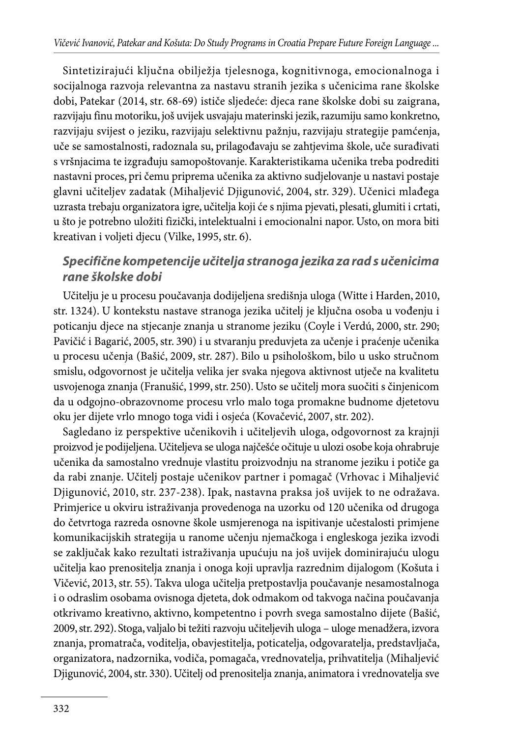Sintetizirajući ključna obilježja tjelesnoga, kognitivnoga, emocionalnoga i socijalnoga razvoja relevantna za nastavu stranih jezika s učenicima rane školske dobi, Patekar (2014, str. 68-69) ističe sljedeće: djeca rane školske dobi su zaigrana, razvijaju finu motoriku, još uvijek usvajaju materinski jezik, razumiju samo konkretno, razvijaju svijest o jeziku, razvijaju selektivnu pažnju, razvijaju strategije pamćenja, uče se samostalnosti, radoznala su, prilagođavaju se zahtjevima škole, uče surađivati s vršnjacima te izgrađuju samopoštovanje. Karakteristikama učenika treba podrediti nastavni proces, pri čemu priprema učenika za aktivno sudjelovanje u nastavi postaje glavni učiteljev zadatak (Mihaljević Djigunović, 2004, str. 329). Učenici mlađega uzrasta trebaju organizatora igre, učitelja koji će s njima pjevati, plesati, glumiti i crtati, u što je potrebno uložiti fizički, intelektualni i emocionalni napor. Usto, on mora biti kreativan i voljeti djecu (Vilke, 1995, str. 6).

#### *Specifične kompetencije učitelja stranoga jezika za rad s učenicima rane školske dobi*

Učitelju je u procesu poučavanja dodijeljena središnja uloga (Witte i Harden, 2010, str. 1324). U kontekstu nastave stranoga jezika učitelj je ključna osoba u vođenju i poticanju djece na stjecanje znanja u stranome jeziku (Coyle i Verdú, 2000, str. 290; Pavičić i Bagarić, 2005, str. 390) i u stvaranju preduvjeta za učenje i praćenje učenika u procesu učenja (Bašić, 2009, str. 287). Bilo u psihološkom, bilo u usko stručnom smislu, odgovornost je učitelja velika jer svaka njegova aktivnost utječe na kvalitetu usvojenoga znanja (Franušić, 1999, str. 250). Usto se učitelj mora suočiti s činjenicom da u odgojno-obrazovnome procesu vrlo malo toga promakne budnome djetetovu oku jer dijete vrlo mnogo toga vidi i osjeća (Kovačević, 2007, str. 202).

Sagledano iz perspektive učenikovih i učiteljevih uloga, odgovornost za krajnji proizvod je podijeljena. Učiteljeva se uloga najčešće očituje u ulozi osobe koja ohrabruje učenika da samostalno vrednuje vlastitu proizvodnju na stranome jeziku i potiče ga da rabi znanje. Učitelj postaje učenikov partner i pomagač (Vrhovac i Mihaljević Djigunović, 2010, str. 237-238). Ipak, nastavna praksa još uvijek to ne odražava. Primjerice u okviru istraživanja provedenoga na uzorku od 120 učenika od drugoga do četvrtoga razreda osnovne škole usmjerenoga na ispitivanje učestalosti primjene komunikacijskih strategija u ranome učenju njemačkoga i engleskoga jezika izvodi se zaključak kako rezultati istraživanja upućuju na još uvijek dominirajuću ulogu učitelja kao prenositelja znanja i onoga koji upravlja razrednim dijalogom (Košuta i Vičević, 2013, str. 55). Takva uloga učitelja pretpostavlja poučavanje nesamostalnoga i o odraslim osobama ovisnoga djeteta, dok odmakom od takvoga načina poučavanja otkrivamo kreativno, aktivno, kompetentno i povrh svega samostalno dijete (Bašić, 2009, str. 292). Stoga, valjalo bi težiti razvoju učiteljevih uloga – uloge menadžera, izvora znanja, promatrača, voditelja, obavjestitelja, poticatelja, odgovaratelja, predstavljača, organizatora, nadzornika, vodiča, pomagača, vrednovatelja, prihvatitelja (Mihaljević Djigunović, 2004, str. 330). Učitelj od prenositelja znanja, animatora i vrednovatelja sve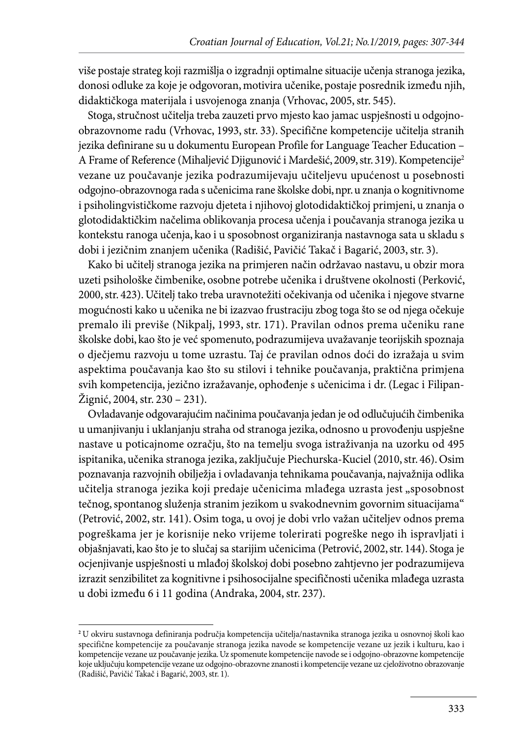više postaje strateg koji razmišlja o izgradnji optimalne situacije učenja stranoga jezika, donosi odluke za koje je odgovoran, motivira učenike, postaje posrednik između njih, didaktičkoga materijala i usvojenoga znanja (Vrhovac, 2005, str. 545).

Stoga, stručnost učitelja treba zauzeti prvo mjesto kao jamac uspješnosti u odgojnoobrazovnome radu (Vrhovac, 1993, str. 33). Specifične kompetencije učitelja stranih jezika definirane su u dokumentu European Profile for Language Teacher Education – A Frame of Reference (Mihaljević Djigunović i Mardešić, 2009, str. 319). Kompetencije2 vezane uz poučavanje jezika podrazumijevaju učiteljevu upućenost u posebnosti odgojno-obrazovnoga rada s učenicima rane školske dobi, npr. u znanja o kognitivnome i psiholingvističkome razvoju djeteta i njihovoj glotodidaktičkoj primjeni, u znanja o glotodidaktičkim načelima oblikovanja procesa učenja i poučavanja stranoga jezika u kontekstu ranoga učenja, kao i u sposobnost organiziranja nastavnoga sata u skladu s dobi i jezičnim znanjem učenika (Radišić, Pavičić Takač i Bagarić, 2003, str. 3).

Kako bi učitelj stranoga jezika na primjeren način održavao nastavu, u obzir mora uzeti psihološke čimbenike, osobne potrebe učenika i društvene okolnosti (Perković, 2000, str. 423). Učitelj tako treba uravnotežiti očekivanja od učenika i njegove stvarne mogućnosti kako u učenika ne bi izazvao frustraciju zbog toga što se od njega očekuje premalo ili previše (Nikpalj, 1993, str. 171). Pravilan odnos prema učeniku rane školske dobi, kao što je već spomenuto, podrazumijeva uvažavanje teorijskih spoznaja o dječjemu razvoju u tome uzrastu. Taj će pravilan odnos doći do izražaja u svim aspektima poučavanja kao što su stilovi i tehnike poučavanja, praktična primjena svih kompetencija, jezično izražavanje, ophođenje s učenicima i dr. (Legac i Filipan-Žignić, 2004, str. 230 – 231).

Ovladavanje odgovarajućim načinima poučavanja jedan je od odlučujućih čimbenika u umanjivanju i uklanjanju straha od stranoga jezika, odnosno u provođenju uspješne nastave u poticajnome ozračju, što na temelju svoga istraživanja na uzorku od 495 ispitanika, učenika stranoga jezika, zaključuje Piechurska-Kuciel (2010, str. 46). Osim poznavanja razvojnih obilježja i ovladavanja tehnikama poučavanja, najvažnija odlika učitelja stranoga jezika koji predaje učenicima mlađega uzrasta jest "sposobnost tečnog, spontanog služenja stranim jezikom u svakodnevnim govornim situacijama" (Petrović, 2002, str. 141). Osim toga, u ovoj je dobi vrlo važan učiteljev odnos prema pogreškama jer je korisnije neko vrijeme tolerirati pogreške nego ih ispravljati i objašnjavati, kao što je to slučaj sa starijim učenicima (Petrović, 2002, str. 144). Stoga je ocjenjivanje uspješnosti u mlađoj školskoj dobi posebno zahtjevno jer podrazumijeva izrazit senzibilitet za kognitivne i psihosocijalne specifičnosti učenika mlađega uzrasta u dobi između 6 i 11 godina (Andraka, 2004, str. 237).

**<sup>2</sup>** U okviru sustavnoga definiranja područja kompetencija učitelja/nastavnika stranoga jezika u osnovnoj školi kao specifične kompetencije za poučavanje stranoga jezika navode se kompetencije vezane uz jezik i kulturu, kao i kompetencije vezane uz poučavanje jezika. Uz spomenute kompetencije navode se i odgojno-obrazovne kompetencije koje uključuju kompetencije vezane uz odgojno-obrazovne znanosti i kompetencije vezane uz cjeloživotno obrazovanje (Radišić, Pavičić Takač i Bagarić, 2003, str. 1).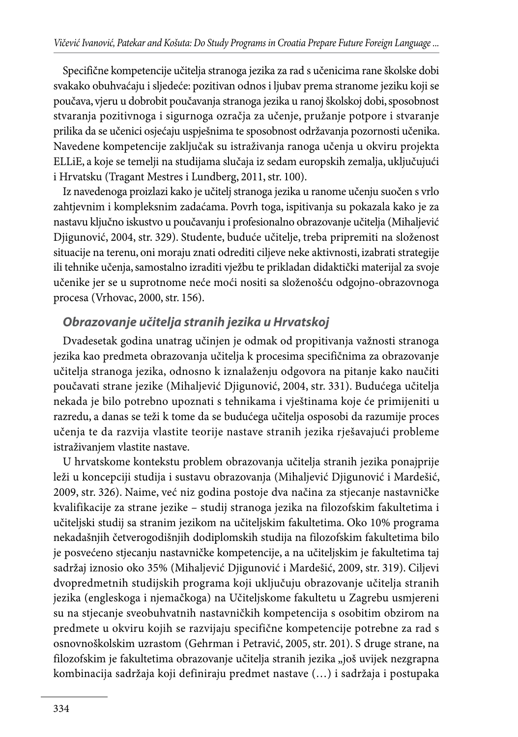Specifične kompetencije učitelja stranoga jezika za rad s učenicima rane školske dobi svakako obuhvaćaju i sljedeće: pozitivan odnos i ljubav prema stranome jeziku koji se poučava, vjeru u dobrobit poučavanja stranoga jezika u ranoj školskoj dobi, sposobnost stvaranja pozitivnoga i sigurnoga ozračja za učenje, pružanje potpore i stvaranje prilika da se učenici osjećaju uspješnima te sposobnost održavanja pozornosti učenika. Navedene kompetencije zaključak su istraživanja ranoga učenja u okviru projekta ELLiE, a koje se temelji na studijama slučaja iz sedam europskih zemalja, uključujući i Hrvatsku (Tragant Mestres i Lundberg, 2011, str. 100).

Iz navedenoga proizlazi kako je učitelj stranoga jezika u ranome učenju suočen s vrlo zahtjevnim i kompleksnim zadaćama. Povrh toga, ispitivanja su pokazala kako je za nastavu ključno iskustvo u poučavanju i profesionalno obrazovanje učitelja (Mihaljević Djigunović, 2004, str. 329). Studente, buduće učitelje, treba pripremiti na složenost situacije na terenu, oni moraju znati odrediti ciljeve neke aktivnosti, izabrati strategije ili tehnike učenja, samostalno izraditi vježbu te prikladan didaktički materijal za svoje učenike jer se u suprotnome neće moći nositi sa složenošću odgojno-obrazovnoga procesa (Vrhovac, 2000, str. 156).

#### *Obrazovanje učitelja stranih jezika u Hrvatskoj*

Dvadesetak godina unatrag učinjen je odmak od propitivanja važnosti stranoga jezika kao predmeta obrazovanja učitelja k procesima specifičnima za obrazovanje učitelja stranoga jezika, odnosno k iznalaženju odgovora na pitanje kako naučiti poučavati strane jezike (Mihaljević Djigunović, 2004, str. 331). Budućega učitelja nekada je bilo potrebno upoznati s tehnikama i vještinama koje će primijeniti u razredu, a danas se teži k tome da se budućega učitelja osposobi da razumije proces učenja te da razvija vlastite teorije nastave stranih jezika rješavajući probleme istraživanjem vlastite nastave.

U hrvatskome kontekstu problem obrazovanja učitelja stranih jezika ponajprije leži u koncepciji studija i sustavu obrazovanja (Mihaljević Djigunović i Mardešić, 2009, str. 326). Naime, već niz godina postoje dva načina za stjecanje nastavničke kvalifikacije za strane jezike – studij stranoga jezika na filozofskim fakultetima i učiteljski studij sa stranim jezikom na učiteljskim fakultetima. Oko 10% programa nekadašnjih četverogodišnjih dodiplomskih studija na filozofskim fakultetima bilo je posvećeno stjecanju nastavničke kompetencije, a na učiteljskim je fakultetima taj sadržaj iznosio oko 35% (Mihaljević Djigunović i Mardešić, 2009, str. 319). Ciljevi dvopredmetnih studijskih programa koji uključuju obrazovanje učitelja stranih jezika (engleskoga i njemačkoga) na Učiteljskome fakultetu u Zagrebu usmjereni su na stjecanje sveobuhvatnih nastavničkih kompetencija s osobitim obzirom na predmete u okviru kojih se razvijaju specifične kompetencije potrebne za rad s osnovnoškolskim uzrastom (Gehrman i Petravić, 2005, str. 201). S druge strane, na filozofskim je fakultetima obrazovanje učitelja stranih jezika "još uvijek nezgrapna kombinacija sadržaja koji definiraju predmet nastave (…) i sadržaja i postupaka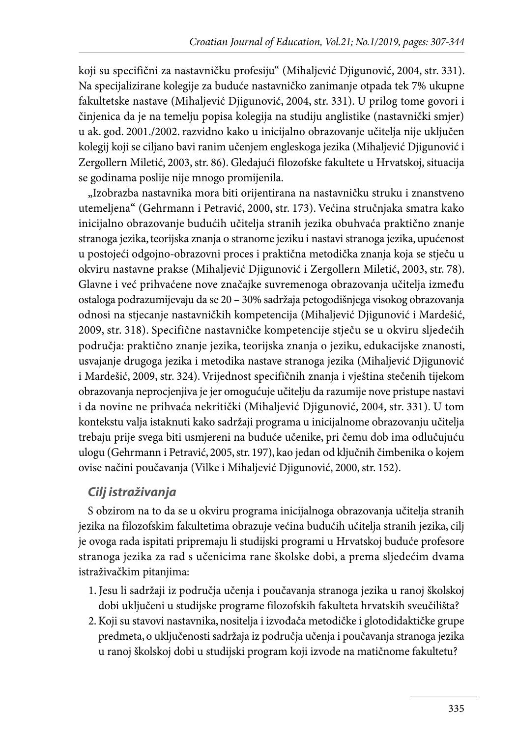koji su specifični za nastavničku profesiju" (Mihaljević Djigunović, 2004, str. 331). Na specijalizirane kolegije za buduće nastavničko zanimanje otpada tek 7% ukupne fakultetske nastave (Mihaljević Djigunović, 2004, str. 331). U prilog tome govori i činjenica da je na temelju popisa kolegija na studiju anglistike (nastavnički smjer) u ak. god. 2001./2002. razvidno kako u inicijalno obrazovanje učitelja nije uključen kolegij koji se ciljano bavi ranim učenjem engleskoga jezika (Mihaljević Djigunović i Zergollern Miletić, 2003, str. 86). Gledajući filozofske fakultete u Hrvatskoj, situacija se godinama poslije nije mnogo promijenila.

"Izobrazba nastavnika mora biti orijentirana na nastavničku struku i znanstveno utemeljena" (Gehrmann i Petravić, 2000, str. 173). Većina stručnjaka smatra kako inicijalno obrazovanje budućih učitelja stranih jezika obuhvaća praktično znanje stranoga jezika, teorijska znanja o stranome jeziku i nastavi stranoga jezika, upućenost u postojeći odgojno-obrazovni proces i praktična metodička znanja koja se stječu u okviru nastavne prakse (Mihaljević Djigunović i Zergollern Miletić, 2003, str. 78). Glavne i već prihvaćene nove značajke suvremenoga obrazovanja učitelja između ostaloga podrazumijevaju da se 20 – 30% sadržaja petogodišnjega visokog obrazovanja odnosi na stjecanje nastavničkih kompetencija (Mihaljević Djigunović i Mardešić, 2009, str. 318). Specifične nastavničke kompetencije stječu se u okviru sljedećih područja: praktično znanje jezika, teorijska znanja o jeziku, edukacijske znanosti, usvajanje drugoga jezika i metodika nastave stranoga jezika (Mihaljević Djigunović i Mardešić, 2009, str. 324). Vrijednost specifičnih znanja i vještina stečenih tijekom obrazovanja neprocjenjiva je jer omogućuje učitelju da razumije nove pristupe nastavi i da novine ne prihvaća nekritički (Mihaljević Djigunović, 2004, str. 331). U tom kontekstu valja istaknuti kako sadržaji programa u inicijalnome obrazovanju učitelja trebaju prije svega biti usmjereni na buduće učenike, pri čemu dob ima odlučujuću ulogu (Gehrmann i Petravić, 2005, str. 197), kao jedan od ključnih čimbenika o kojem ovise načini poučavanja (Vilke i Mihaljević Djigunović, 2000, str. 152).

#### *Cilj istraživanja*

S obzirom na to da se u okviru programa inicijalnoga obrazovanja učitelja stranih jezika na filozofskim fakultetima obrazuje većina budućih učitelja stranih jezika, cilj je ovoga rada ispitati pripremaju li studijski programi u Hrvatskoj buduće profesore stranoga jezika za rad s učenicima rane školske dobi, a prema sljedećim dvama istraživačkim pitanjima:

- 1. Jesu li sadržaji iz područja učenja i poučavanja stranoga jezika u ranoj školskoj dobi uključeni u studijske programe filozofskih fakulteta hrvatskih sveučilišta?
- 2. Koji su stavovi nastavnika, nositelja i izvođača metodičke i glotodidaktičke grupe predmeta, o uključenosti sadržaja iz područja učenja i poučavanja stranoga jezika u ranoj školskoj dobi u studijski program koji izvode na matičnome fakultetu?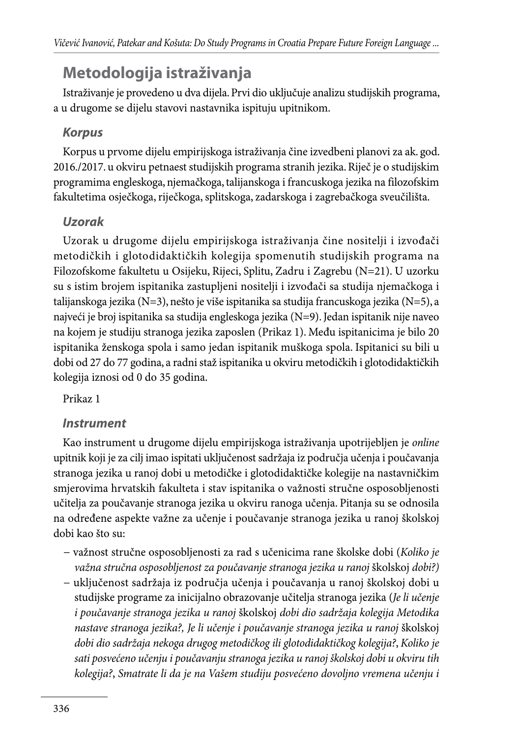# **Metodologija istraživanja**

Istraživanje je provedeno u dva dijela. Prvi dio uključuje analizu studijskih programa, a u drugome se dijelu stavovi nastavnika ispituju upitnikom.

### *Korpus*

Korpus u prvome dijelu empirijskoga istraživanja čine izvedbeni planovi za ak. god. 2016./2017. u okviru petnaest studijskih programa stranih jezika. Riječ je o studijskim programima engleskoga, njemačkoga, talijanskoga i francuskoga jezika na filozofskim fakultetima osječkoga, riječkoga, splitskoga, zadarskoga i zagrebačkoga sveučilišta.

## *Uzorak*

Uzorak u drugome dijelu empirijskoga istraživanja čine nositelji i izvođači metodičkih i glotodidaktičkih kolegija spomenutih studijskih programa na Filozofskome fakultetu u Osijeku, Rijeci, Splitu, Zadru i Zagrebu (N=21). U uzorku su s istim brojem ispitanika zastupljeni nositelji i izvođači sa studija njemačkoga i talijanskoga jezika (N=3), nešto je više ispitanika sa studija francuskoga jezika (N=5), a najveći je broj ispitanika sa studija engleskoga jezika (N=9). Jedan ispitanik nije naveo na kojem je studiju stranoga jezika zaposlen (Prikaz 1). Među ispitanicima je bilo 20 ispitanika ženskoga spola i samo jedan ispitanik muškoga spola. Ispitanici su bili u dobi od 27 do 77 godina, a radni staž ispitanika u okviru metodičkih i glotodidaktičkih kolegija iznosi od 0 do 35 godina.

Prikaz 1

#### *Instrument*

Kao instrument u drugome dijelu empirijskoga istraživanja upotrijebljen je *online* upitnik koji je za cilj imao ispitati uključenost sadržaja iz područja učenja i poučavanja stranoga jezika u ranoj dobi u metodičke i glotodidaktičke kolegije na nastavničkim smjerovima hrvatskih fakulteta i stav ispitanika o važnosti stručne osposobljenosti učitelja za poučavanje stranoga jezika u okviru ranoga učenja. Pitanja su se odnosila na određene aspekte važne za učenje i poučavanje stranoga jezika u ranoj školskoj dobi kao što su:

- − važnost stručne osposobljenosti za rad s učenicima rane školske dobi (*Koliko je važna stručna osposobljenost za poučavanje stranoga jezika u ranoj* školskoj *dobi?)*
- − uključenost sadržaja iz područja učenja i poučavanja u ranoj školskoj dobi u studijske programe za inicijalno obrazovanje učitelja stranoga jezika (*Je li učenje i poučavanje stranoga jezika u ranoj* školskoj *dobi dio sadržaja kolegija Metodika nastave stranoga jezika?, Je li učenje i poučavanje stranoga jezika u ranoj* školskoj *dobi dio sadržaja nekoga drugog metodičkog ili glotodidaktičkog kolegija?*, *Koliko je sati posvećeno učenju i poučavanju stranoga jezika u ranoj školskoj dobi u okviru tih kolegija?*, *Smatrate li da je na Vašem studiju posvećeno dovoljno vremena učenju i*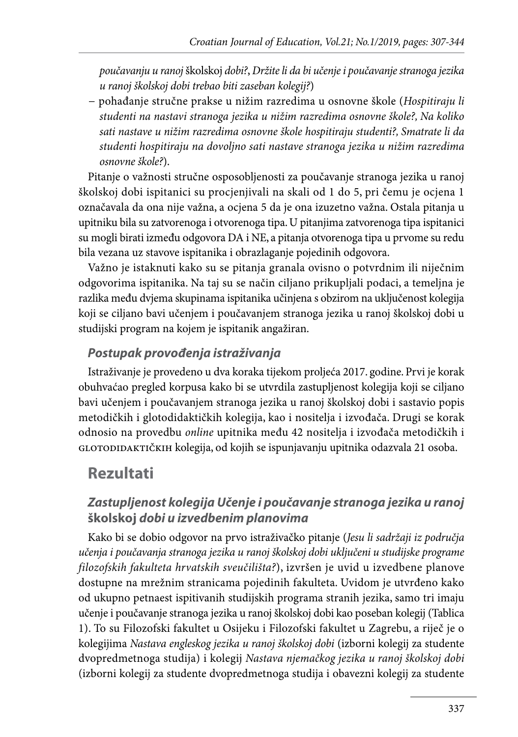*poučavanju u ranoj* školskoj *dobi?*, *Držite li da bi učenje i poučavanje stranoga jezika u ranoj školskoj dobi trebao biti zaseban kolegij?*)

− pohađanje stručne prakse u nižim razredima u osnovne škole (*Hospitiraju li studenti na nastavi stranoga jezika u nižim razredima osnovne škole?, Na koliko sati nastave u nižim razredima osnovne škole hospitiraju studenti?, Smatrate li da studenti hospitiraju na dovoljno sati nastave stranoga jezika u nižim razredima osnovne škole?*).

Pitanje o važnosti stručne osposobljenosti za poučavanje stranoga jezika u ranoj školskoj dobi ispitanici su procjenjivali na skali od 1 do 5, pri čemu je ocjena 1 označavala da ona nije važna, a ocjena 5 da je ona izuzetno važna. Ostala pitanja u upitniku bila su zatvorenoga i otvorenoga tipa. U pitanjima zatvorenoga tipa ispitanici su mogli birati između odgovora DA i NE, a pitanja otvorenoga tipa u prvome su redu bila vezana uz stavove ispitanika i obrazlaganje pojedinih odgovora.

Važno je istaknuti kako su se pitanja granala ovisno o potvrdnim ili niječnim odgovorima ispitanika. Na taj su se način ciljano prikupljali podaci, a temeljna je razlika među dvjema skupinama ispitanika učinjena s obzirom na uključenost kolegija koji se ciljano bavi učenjem i poučavanjem stranoga jezika u ranoj školskoj dobi u studijski program na kojem je ispitanik angažiran.

#### *Postupak provođenja istraživanja*

Istraživanje je provedeno u dva koraka tijekom proljeća 2017. godine. Prvi je korak obuhvaćao pregled korpusa kako bi se utvrdila zastupljenost kolegija koji se ciljano bavi učenjem i poučavanjem stranoga jezika u ranoj školskoj dobi i sastavio popis metodičkih i glotodidaktičkih kolegija, kao i nositelja i izvođača. Drugi se korak odnosio na provedbu *online* upitnika među 42 nositelja i izvođača metodičkih i GLOTODIDAKTIČKIH kolegija, od kojih se ispunjavanju upitnika odazvala 21 osoba.

# **Rezultati**

#### *Zastupljenost kolegija Učenje i poučavanje stranoga jezika u ranoj*  **školskoj** *dobi u izvedbenim planovima*

Kako bi se dobio odgovor na prvo istraživačko pitanje (*Jesu li sadržaji iz područja učenja i poučavanja stranoga jezika u ranoj školskoj dobi uključeni u studijske programe filozofskih fakulteta hrvatskih sveučilišta?*), izvršen je uvid u izvedbene planove dostupne na mrežnim stranicama pojedinih fakulteta. Uvidom je utvrđeno kako od ukupno petnaest ispitivanih studijskih programa stranih jezika, samo tri imaju učenje i poučavanje stranoga jezika u ranoj školskoj dobi kao poseban kolegij (Tablica 1). To su Filozofski fakultet u Osijeku i Filozofski fakultet u Zagrebu, a riječ je o kolegijima *Nastava engleskog jezika u ranoj školskoj dobi* (izborni kolegij za studente dvopredmetnoga studija) i kolegij *Nastava njemačkog jezika u ranoj školskoj dobi*  (izborni kolegij za studente dvopredmetnoga studija i obavezni kolegij za studente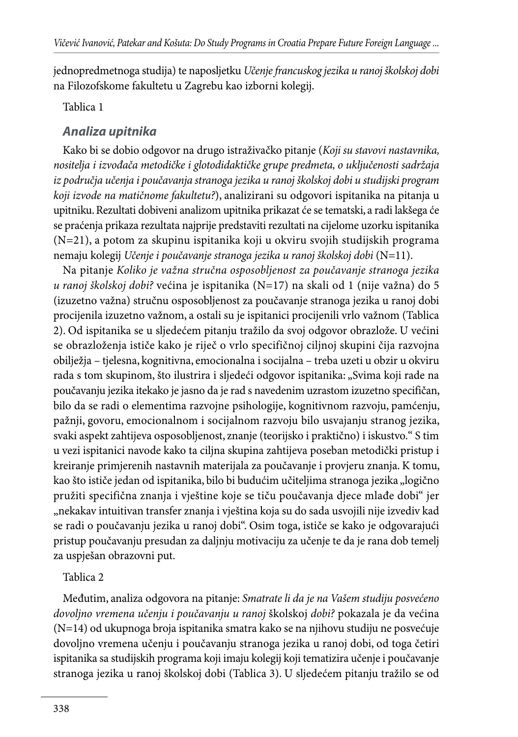jednopredmetnoga studija) te naposljetku *Učenje francuskog jezika u ranoj školskoj dobi* na Filozofskome fakultetu u Zagrebu kao izborni kolegij.

#### Tablica 1

#### *Analiza upitnika*

Kako bi se dobio odgovor na drugo istraživačko pitanje (*Koji su stavovi nastavnika, nositelja i izvođača metodičke i glotodidaktičke grupe predmeta, o uključenosti sadržaja iz područja učenja i poučavanja stranoga jezika u ranoj školskoj dobi u studijski program koji izvode na matičnome fakultetu?*), analizirani su odgovori ispitanika na pitanja u upitniku. Rezultati dobiveni analizom upitnika prikazat će se tematski, a radi lakšega će se praćenja prikaza rezultata najprije predstaviti rezultati na cijelome uzorku ispitanika (N=21), a potom za skupinu ispitanika koji u okviru svojih studijskih programa nemaju kolegij *Učenje i poučavanje stranoga jezika u ranoj školskoj dobi* (N=11).

Na pitanje *Koliko je važna stručna osposobljenost za poučavanje stranoga jezika u ranoj školskoj dobi?* većina je ispitanika (N=17) na skali od 1 (nije važna) do 5 (izuzetno važna) stručnu osposobljenost za poučavanje stranoga jezika u ranoj dobi procijenila izuzetno važnom, a ostali su je ispitanici procijenili vrlo važnom (Tablica 2). Od ispitanika se u sljedećem pitanju tražilo da svoj odgovor obrazlože. U većini se obrazloženja ističe kako je riječ o vrlo specifičnoj ciljnoj skupini čija razvojna obilježja – tjelesna, kognitivna, emocionalna i socijalna – treba uzeti u obzir u okviru rada s tom skupinom, što ilustrira i sljedeći odgovor ispitanika: "Svima koji rade na poučavanju jezika itekako je jasno da je rad s navedenim uzrastom izuzetno specifičan, bilo da se radi o elementima razvojne psihologije, kognitivnom razvoju, pamćenju, pažnji, govoru, emocionalnom i socijalnom razvoju bilo usvajanju stranog jezika, svaki aspekt zahtijeva osposobljenost, znanje (teorijsko i praktično) i iskustvo." S tim u vezi ispitanici navode kako ta ciljna skupina zahtijeva poseban metodički pristup i kreiranje primjerenih nastavnih materijala za poučavanje i provjeru znanja. K tomu, kao što ističe jedan od ispitanika, bilo bi budućim učiteljima stranoga jezika "logično pružiti specifična znanja i vještine koje se tiču poučavanja djece mlađe dobi" jer "nekakav intuitivan transfer znanja i vještina koja su do sada usvojili nije izvediv kad se radi o poučavanju jezika u ranoj dobi". Osim toga, ističe se kako je odgovarajući pristup poučavanju presudan za daljnju motivaciju za učenje te da je rana dob temelj za uspješan obrazovni put.

#### Tablica 2

Međutim, analiza odgovora na pitanje: *Smatrate li da je na Vašem studiju posvećeno dovoljno vremena učenju i poučavanju u ranoj* školskoj *dobi?* pokazala je da većina (N=14) od ukupnoga broja ispitanika smatra kako se na njihovu studiju ne posvećuje dovoljno vremena učenju i poučavanju stranoga jezika u ranoj dobi, od toga četiri ispitanika sa studijskih programa koji imaju kolegij koji tematizira učenje i poučavanje stranoga jezika u ranoj školskoj dobi (Tablica 3). U sljedećem pitanju tražilo se od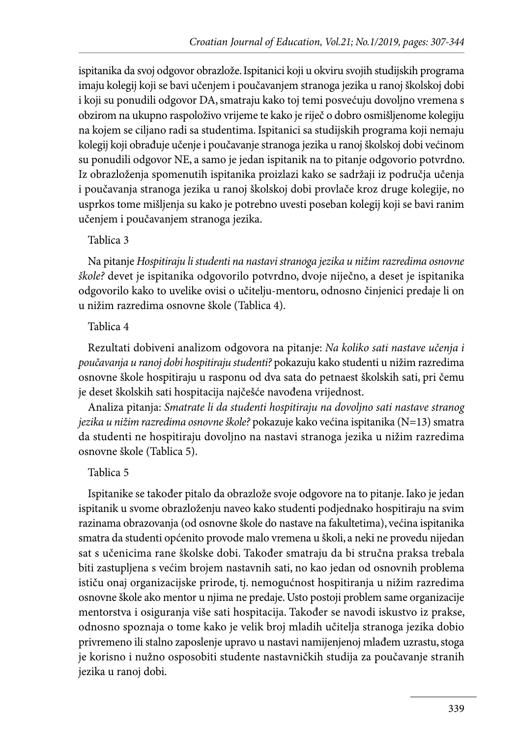ispitanika da svoj odgovor obrazlože. Ispitanici koji u okviru svojih studijskih programa imaju kolegij koji se bavi učenjem i poučavanjem stranoga jezika u ranoj školskoj dobi i koji su ponudili odgovor DA, smatraju kako toj temi posvećuju dovoljno vremena s obzirom na ukupno raspoloživo vrijeme te kako je riječ o dobro osmišljenome kolegiju na kojem se ciljano radi sa studentima. Ispitanici sa studijskih programa koji nemaju kolegij koji obrađuje učenje i poučavanje stranoga jezika u ranoj školskoj dobi većinom su ponudili odgovor NE, a samo je jedan ispitanik na to pitanje odgovorio potvrdno. Iz obrazloženja spomenutih ispitanika proizlazi kako se sadržaji iz područja učenja i poučavanja stranoga jezika u ranoj školskoj dobi provlače kroz druge kolegije, no usprkos tome mišljenja su kako je potrebno uvesti poseban kolegij koji se bavi ranim učenjem i poučavanjem stranoga jezika.

#### Tablica 3

Na pitanje *Hospitiraju li studenti na nastavi stranoga jezika u nižim razredima osnovne škole?* devet je ispitanika odgovorilo potvrdno, dvoje niječno, a deset je ispitanika odgovorilo kako to uvelike ovisi o učitelju-mentoru, odnosno činjenici predaje li on u nižim razredima osnovne škole (Tablica 4).

#### Tablica 4

Rezultati dobiveni analizom odgovora na pitanje: *Na koliko sati nastave učenja i poučavanja u ranoj dobi hospitiraju studenti?* pokazuju kako studenti u nižim razredima osnovne škole hospitiraju u rasponu od dva sata do petnaest školskih sati, pri čemu je deset školskih sati hospitacija najčešće navođena vrijednost.

Analiza pitanja: *Smatrate li da studenti hospitiraju na dovoljno sati nastave stranog jezika u nižim razredima osnovne škole?* pokazuje kako većina ispitanika (N=13) smatra da studenti ne hospitiraju dovoljno na nastavi stranoga jezika u nižim razredima osnovne škole (Tablica 5).

#### Tablica 5

Ispitanike se također pitalo da obrazlože svoje odgovore na to pitanje. Iako je jedan ispitanik u svome obrazloženju naveo kako studenti podjednako hospitiraju na svim razinama obrazovanja (od osnovne škole do nastave na fakultetima), većina ispitanika smatra da studenti općenito provode malo vremena u školi, a neki ne provedu nijedan sat s učenicima rane školske dobi. Također smatraju da bi stručna praksa trebala biti zastupljena s većim brojem nastavnih sati, no kao jedan od osnovnih problema ističu onaj organizacijske prirode, tj. nemogućnost hospitiranja u nižim razredima osnovne škole ako mentor u njima ne predaje. Usto postoji problem same organizacije mentorstva i osiguranja više sati hospitacija. Također se navodi iskustvo iz prakse, odnosno spoznaja o tome kako je velik broj mladih učitelja stranoga jezika dobio privremeno ili stalno zaposlenje upravo u nastavi namijenjenoj mlađem uzrastu, stoga je korisno i nužno osposobiti studente nastavničkih studija za poučavanje stranih jezika u ranoj dobi.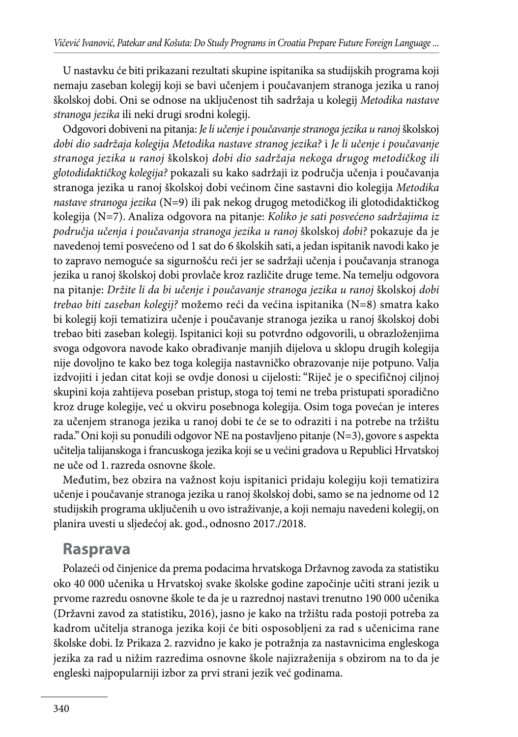U nastavku će biti prikazani rezultati skupine ispitanika sa studijskih programa koji nemaju zaseban kolegij koji se bavi učenjem i poučavanjem stranoga jezika u ranoj školskoj dobi. Oni se odnose na uključenost tih sadržaja u kolegij *Metodika nastave stranoga jezika* ili neki drugi srodni kolegij.

Odgovori dobiveni na pitanja: *Je li učenje i poučavanje stranoga jezika u ranoj* školskoj *dobi dio sadržaja kolegija Metodika nastave stranog jezika?* i *Je li učenje i poučavanje stranoga jezika u ranoj* školskoj *dobi dio sadržaja nekoga drugog metodičkog ili glotodidaktičkog kolegija?* pokazali su kako sadržaji iz područja učenja i poučavanja stranoga jezika u ranoj školskoj dobi većinom čine sastavni dio kolegija *Metodika nastave stranoga jezika* (N=9) ili pak nekog drugog metodičkog ili glotodidaktičkog kolegija (N=7). Analiza odgovora na pitanje: *Koliko je sati posvećeno sadržajima iz područja učenja i poučavanja stranoga jezika u ranoj* školskoj *dobi?* pokazuje da je navedenoj temi posvećeno od 1 sat do 6 školskih sati, a jedan ispitanik navodi kako je to zapravo nemoguće sa sigurnošću reći jer se sadržaji učenja i poučavanja stranoga jezika u ranoj školskoj dobi provlače kroz različite druge teme. Na temelju odgovora na pitanje: *Držite li da bi učenje i poučavanje stranoga jezika u ranoj* školskoj *dobi trebao biti zaseban kolegij?* možemo reći da većina ispitanika (N=8) smatra kako bi kolegij koji tematizira učenje i poučavanje stranoga jezika u ranoj školskoj dobi trebao biti zaseban kolegij. Ispitanici koji su potvrdno odgovorili, u obrazloženjima svoga odgovora navode kako obrađivanje manjih dijelova u sklopu drugih kolegija nije dovoljno te kako bez toga kolegija nastavničko obrazovanje nije potpuno. Valja izdvojiti i jedan citat koji se ovdje donosi u cijelosti: "Riječ je o specifičnoj ciljnoj skupini koja zahtijeva poseban pristup, stoga toj temi ne treba pristupati sporadično kroz druge kolegije, već u okviru posebnoga kolegija. Osim toga povećan je interes za učenjem stranoga jezika u ranoj dobi te će se to odraziti i na potrebe na tržištu rada." Oni koji su ponudili odgovor NE na postavljeno pitanje (N=3), govore s aspekta učitelja talijanskoga i francuskoga jezika koji se u većini gradova u Republici Hrvatskoj ne uče od 1. razreda osnovne škole.

Međutim, bez obzira na važnost koju ispitanici pridaju kolegiju koji tematizira učenje i poučavanje stranoga jezika u ranoj školskoj dobi, samo se na jednome od 12 studijskih programa uključenih u ovo istraživanje, a koji nemaju navedeni kolegij, on planira uvesti u sljedećoj ak. god., odnosno 2017./2018.

#### **Rasprava**

Polazeći od činjenice da prema podacima hrvatskoga Državnog zavoda za statistiku oko 40 000 učenika u Hrvatskoj svake školske godine započinje učiti strani jezik u prvome razredu osnovne škole te da je u razrednoj nastavi trenutno 190 000 učenika (Državni zavod za statistiku, 2016), jasno je kako na tržištu rada postoji potreba za kadrom učitelja stranoga jezika koji će biti osposobljeni za rad s učenicima rane školske dobi. Iz Prikaza 2. razvidno je kako je potražnja za nastavnicima engleskoga jezika za rad u nižim razredima osnovne škole najizraženija s obzirom na to da je engleski najpopularniji izbor za prvi strani jezik već godinama.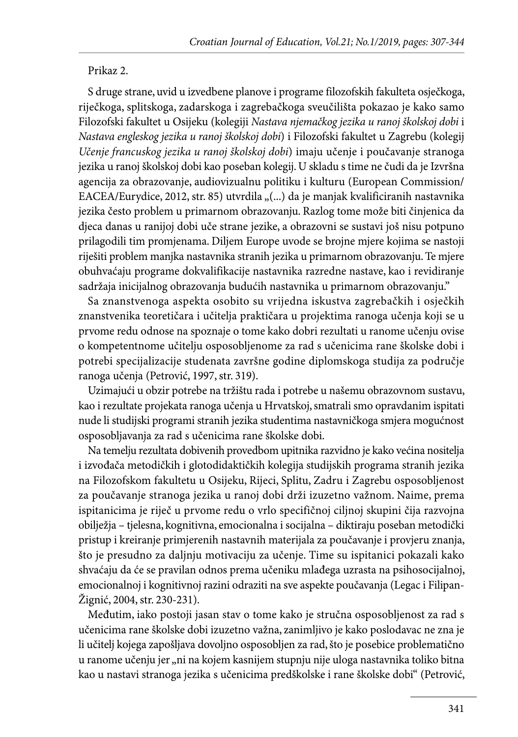#### Prikaz 2.

S druge strane, uvid u izvedbene planove i programe filozofskih fakulteta osječkoga, riječkoga, splitskoga, zadarskoga i zagrebačkoga sveučilišta pokazao je kako samo Filozofski fakultet u Osijeku (kolegiji *Nastava njemačkog jezika u ranoj školskoj dobi* i *Nastava engleskog jezika u ranoj školskoj dobi*) i Filozofski fakultet u Zagrebu (kolegij *Učenje francuskog jezika u ranoj školskoj dobi*) imaju učenje i poučavanje stranoga jezika u ranoj školskoj dobi kao poseban kolegij. U skladu s time ne čudi da je Izvršna agencija za obrazovanje, audiovizualnu politiku i kulturu (European Commission/ EACEA/Eurydice, 2012, str. 85) utvrdila "(...) da je manjak kvalificiranih nastavnika jezika često problem u primarnom obrazovanju. Razlog tome može biti činjenica da djeca danas u ranijoj dobi uče strane jezike, a obrazovni se sustavi još nisu potpuno prilagodili tim promjenama. Diljem Europe uvode se brojne mjere kojima se nastoji riješiti problem manjka nastavnika stranih jezika u primarnom obrazovanju. Te mjere obuhvaćaju programe dokvalifikacije nastavnika razredne nastave, kao i revidiranje sadržaja inicijalnog obrazovanja budućih nastavnika u primarnom obrazovanju."

Sa znanstvenoga aspekta osobito su vrijedna iskustva zagrebačkih i osječkih znanstvenika teoretičara i učitelja praktičara u projektima ranoga učenja koji se u prvome redu odnose na spoznaje o tome kako dobri rezultati u ranome učenju ovise o kompetentnome učitelju osposobljenome za rad s učenicima rane školske dobi i potrebi specijalizacije studenata završne godine diplomskoga studija za područje ranoga učenja (Petrović, 1997, str. 319).

Uzimajući u obzir potrebe na tržištu rada i potrebe u našemu obrazovnom sustavu, kao i rezultate projekata ranoga učenja u Hrvatskoj, smatrali smo opravdanim ispitati nude li studijski programi stranih jezika studentima nastavničkoga smjera mogućnost osposobljavanja za rad s učenicima rane školske dobi.

Na temelju rezultata dobivenih provedbom upitnika razvidno je kako većina nositelja i izvođača metodičkih i glotodidaktičkih kolegija studijskih programa stranih jezika na Filozofskom fakultetu u Osijeku, Rijeci, Splitu, Zadru i Zagrebu osposobljenost za poučavanje stranoga jezika u ranoj dobi drži izuzetno važnom. Naime, prema ispitanicima je riječ u prvome redu o vrlo specifičnoj ciljnoj skupini čija razvojna obilježja – tjelesna, kognitivna, emocionalna i socijalna – diktiraju poseban metodički pristup i kreiranje primjerenih nastavnih materijala za poučavanje i provjeru znanja, što je presudno za daljnju motivaciju za učenje. Time su ispitanici pokazali kako shvaćaju da će se pravilan odnos prema učeniku mlađega uzrasta na psihosocijalnoj, emocionalnoj i kognitivnoj razini odraziti na sve aspekte poučavanja (Legac i Filipan-Žignić, 2004, str. 230-231).

Međutim, iako postoji jasan stav o tome kako je stručna osposobljenost za rad s učenicima rane školske dobi izuzetno važna, zanimljivo je kako poslodavac ne zna je li učitelj kojega zapošljava dovoljno osposobljen za rad, što je posebice problematično u ranome učenju jer "ni na kojem kasnijem stupnju nije uloga nastavnika toliko bitna kao u nastavi stranoga jezika s učenicima predškolske i rane školske dobi" (Petrović,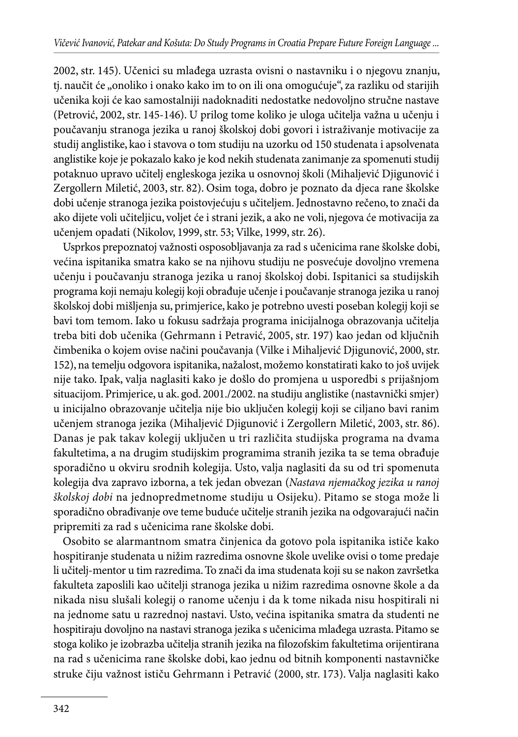2002, str. 145). Učenici su mlađega uzrasta ovisni o nastavniku i o njegovu znanju, tj. naučit će "onoliko i onako kako im to on ili ona omogućuje", za razliku od starijih učenika koji će kao samostalniji nadoknaditi nedostatke nedovoljno stručne nastave (Petrović, 2002, str. 145-146). U prilog tome koliko je uloga učitelja važna u učenju i poučavanju stranoga jezika u ranoj školskoj dobi govori i istraživanje motivacije za studij anglistike, kao i stavova o tom studiju na uzorku od 150 studenata i apsolvenata anglistike koje je pokazalo kako je kod nekih studenata zanimanje za spomenuti studij potaknuo upravo učitelj engleskoga jezika u osnovnoj školi (Mihaljević Djigunović i Zergollern Miletić, 2003, str. 82). Osim toga, dobro je poznato da djeca rane školske dobi učenje stranoga jezika poistovjećuju s učiteljem. Jednostavno rečeno, to znači da ako dijete voli učiteljicu, voljet će i strani jezik, a ako ne voli, njegova će motivacija za učenjem opadati (Nikolov, 1999, str. 53; Vilke, 1999, str. 26).

Usprkos prepoznatoj važnosti osposobljavanja za rad s učenicima rane školske dobi, većina ispitanika smatra kako se na njihovu studiju ne posvećuje dovoljno vremena učenju i poučavanju stranoga jezika u ranoj školskoj dobi. Ispitanici sa studijskih programa koji nemaju kolegij koji obrađuje učenje i poučavanje stranoga jezika u ranoj školskoj dobi mišljenja su, primjerice, kako je potrebno uvesti poseban kolegij koji se bavi tom temom. Iako u fokusu sadržaja programa inicijalnoga obrazovanja učitelja treba biti dob učenika (Gehrmann i Petravić, 2005, str. 197) kao jedan od ključnih čimbenika o kojem ovise načini poučavanja (Vilke i Mihaljević Djigunović, 2000, str. 152), na temelju odgovora ispitanika, nažalost, možemo konstatirati kako to još uvijek nije tako. Ipak, valja naglasiti kako je došlo do promjena u usporedbi s prijašnjom situacijom. Primjerice, u ak. god. 2001./2002. na studiju anglistike (nastavnički smjer) u inicijalno obrazovanje učitelja nije bio uključen kolegij koji se ciljano bavi ranim učenjem stranoga jezika (Mihaljević Djigunović i Zergollern Miletić, 2003, str. 86). Danas je pak takav kolegij uključen u tri različita studijska programa na dvama fakultetima, a na drugim studijskim programima stranih jezika ta se tema obrađuje sporadično u okviru srodnih kolegija. Usto, valja naglasiti da su od tri spomenuta kolegija dva zapravo izborna, a tek jedan obvezan (*Nastava njemačkog jezika u ranoj školskoj dobi* na jednopredmetnome studiju u Osijeku). Pitamo se stoga može li sporadično obrađivanje ove teme buduće učitelje stranih jezika na odgovarajući način pripremiti za rad s učenicima rane školske dobi.

Osobito se alarmantnom smatra činjenica da gotovo pola ispitanika ističe kako hospitiranje studenata u nižim razredima osnovne škole uvelike ovisi o tome predaje li učitelj-mentor u tim razredima. To znači da ima studenata koji su se nakon završetka fakulteta zaposlili kao učitelji stranoga jezika u nižim razredima osnovne škole a da nikada nisu slušali kolegij o ranome učenju i da k tome nikada nisu hospitirali ni na jednome satu u razrednoj nastavi. Usto, većina ispitanika smatra da studenti ne hospitiraju dovoljno na nastavi stranoga jezika s učenicima mlađega uzrasta. Pitamo se stoga koliko je izobrazba učitelja stranih jezika na filozofskim fakultetima orijentirana na rad s učenicima rane školske dobi, kao jednu od bitnih komponenti nastavničke struke čiju važnost ističu Gehrmann i Petravić (2000, str. 173). Valja naglasiti kako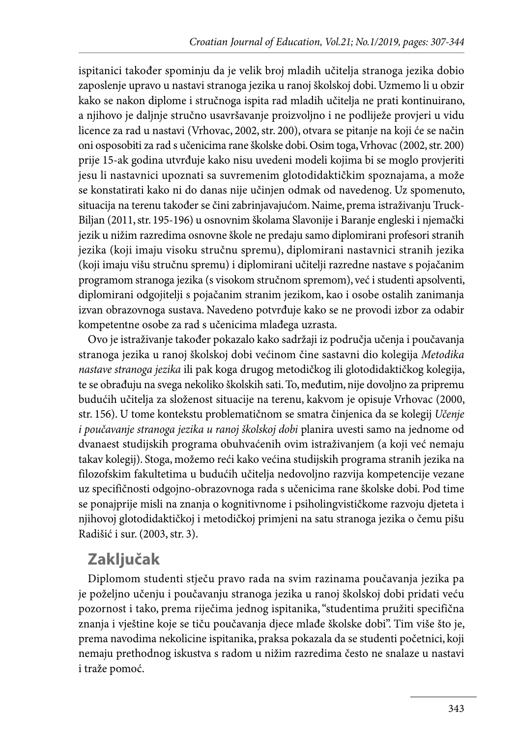ispitanici također spominju da je velik broj mladih učitelja stranoga jezika dobio zaposlenje upravo u nastavi stranoga jezika u ranoj školskoj dobi. Uzmemo li u obzir kako se nakon diplome i stručnoga ispita rad mladih učitelja ne prati kontinuirano, a njihovo je daljnje stručno usavršavanje proizvoljno i ne podliježe provjeri u vidu licence za rad u nastavi (Vrhovac, 2002, str. 200), otvara se pitanje na koji će se način oni osposobiti za rad s učenicima rane školske dobi. Osim toga, Vrhovac (2002, str. 200) prije 15-ak godina utvrđuje kako nisu uvedeni modeli kojima bi se moglo provjeriti jesu li nastavnici upoznati sa suvremenim glotodidaktičkim spoznajama, a može se konstatirati kako ni do danas nije učinjen odmak od navedenog. Uz spomenuto, situacija na terenu također se čini zabrinjavajućom. Naime, prema istraživanju Truck-Biljan (2011, str. 195-196) u osnovnim školama Slavonije i Baranje engleski i njemački jezik u nižim razredima osnovne škole ne predaju samo diplomirani profesori stranih jezika (koji imaju visoku stručnu spremu), diplomirani nastavnici stranih jezika (koji imaju višu stručnu spremu) i diplomirani učitelji razredne nastave s pojačanim programom stranoga jezika (s visokom stručnom spremom), već i studenti apsolventi, diplomirani odgojitelji s pojačanim stranim jezikom, kao i osobe ostalih zanimanja izvan obrazovnoga sustava. Navedeno potvrđuje kako se ne provodi izbor za odabir kompetentne osobe za rad s učenicima mlađega uzrasta.

Ovo je istraživanje također pokazalo kako sadržaji iz područja učenja i poučavanja stranoga jezika u ranoj školskoj dobi većinom čine sastavni dio kolegija *Metodika nastave stranoga jezika* ili pak koga drugog metodičkog ili glotodidaktičkog kolegija, te se obrađuju na svega nekoliko školskih sati. To, međutim, nije dovoljno za pripremu budućih učitelja za složenost situacije na terenu, kakvom je opisuje Vrhovac (2000, str. 156). U tome kontekstu problematičnom se smatra činjenica da se kolegij *Učenje i poučavanje stranoga jezika u ranoj školskoj dobi* planira uvesti samo na jednome od dvanaest studijskih programa obuhvaćenih ovim istraživanjem (a koji već nemaju takav kolegij). Stoga, možemo reći kako većina studijskih programa stranih jezika na filozofskim fakultetima u budućih učitelja nedovoljno razvija kompetencije vezane uz specifičnosti odgojno-obrazovnoga rada s učenicima rane školske dobi. Pod time se ponajprije misli na znanja o kognitivnome i psiholingvističkome razvoju djeteta i njihovoj glotodidaktičkoj i metodičkoj primjeni na satu stranoga jezika o čemu pišu Radišić i sur. (2003, str. 3).

# **Zaključak**

Diplomom studenti stječu pravo rada na svim razinama poučavanja jezika pa je poželjno učenju i poučavanju stranoga jezika u ranoj školskoj dobi pridati veću pozornost i tako, prema riječima jednog ispitanika, "studentima pružiti specifična znanja i vještine koje se tiču poučavanja djece mlađe školske dobi". Tim više što je, prema navodima nekolicine ispitanika, praksa pokazala da se studenti početnici, koji nemaju prethodnog iskustva s radom u nižim razredima često ne snalaze u nastavi i traže pomoć.